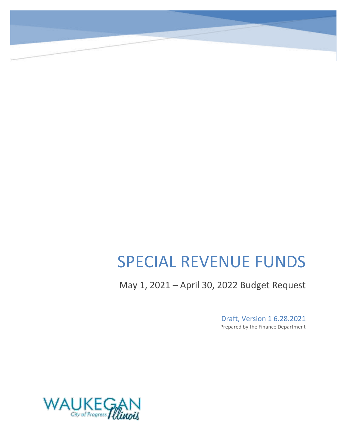# SPECIAL REVENUE FUNDS

May 1, 2021 – April 30, 2022 Budget Request

Draft, Version 1 6.28.2021 Prepared by the Finance Department

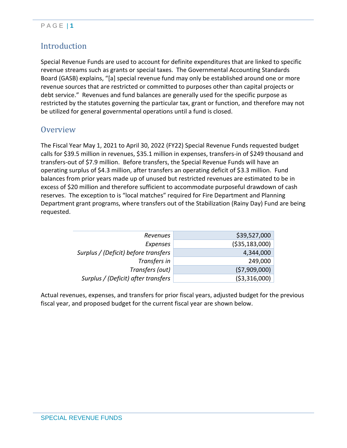### P A G E | **1**

### Introduction

Special Revenue Funds are used to account for definite expenditures that are linked to specific revenue streams such as grants or special taxes. The Governmental Accounting Standards Board (GASB) explains, "[a] special revenue fund may only be established around one or more revenue sources that are restricted or committed to purposes other than capital projects or debt service." Revenues and fund balances are generally used for the specific purpose as restricted by the statutes governing the particular tax, grant or function, and therefore may not be utilized for general governmental operations until a fund is closed.

### **Overview**

The Fiscal Year May 1, 2021 to April 30, 2022 (FY22) Special Revenue Funds requested budget calls for \$39.5 million in revenues, \$35.1 million in expenses, transfers-in of \$249 thousand and transfers-out of \$7.9 million. Before transfers, the Special Revenue Funds will have an operating surplus of \$4.3 million, after transfers an operating deficit of \$3.3 million. Fund balances from prior years made up of unused but restricted revenues are estimated to be in excess of \$20 million and therefore sufficient to accommodate purposeful drawdown of cash reserves. The exception to is "local matches" required for Fire Department and Planning Department grant programs, where transfers out of the Stabilization (Rainy Day) Fund are being requested.

| Revenues                             | \$39,527,000    |
|--------------------------------------|-----------------|
| <b>Expenses</b>                      | ( \$35,183,000) |
| Surplus / (Deficit) before transfers | 4,344,000       |
| Transfers in                         | 249,000         |
| Transfers (out)                      | (57,909,000)    |
| Surplus / (Deficit) after transfers  | ( \$3,316,000)  |
|                                      |                 |

Actual revenues, expenses, and transfers for prior fiscal years, adjusted budget for the previous fiscal year, and proposed budget for the current fiscal year are shown below.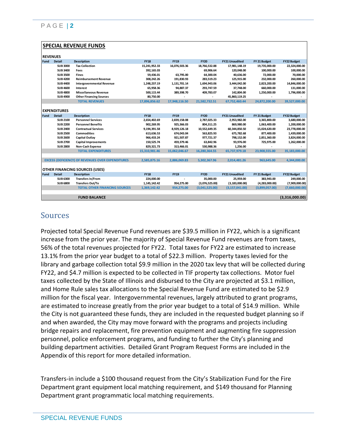|                 |                     | <b>SPECIAL REVENUE FUNDS</b>                             |               |               |                |                       |                |                    |
|-----------------|---------------------|----------------------------------------------------------|---------------|---------------|----------------|-----------------------|----------------|--------------------|
| <b>REVENUES</b> |                     |                                                          |               |               |                |                       |                |                    |
| <b>Fund</b>     | <b>Detail</b>       | <b>Description</b>                                       | <b>FY18</b>   | <b>FY19</b>   | <b>FY20</b>    | <b>FY21 Unaudited</b> | FY 21 Budget   | <b>FY22 Budget</b> |
|                 | <b>SUB 3000</b>     | <b>Tax Collection</b>                                    | 15,241,952.33 | 16,076,503.36 | 18,766,532.88  | 17,981,148.19         | 19,735,000.00  | 22,324,000.00      |
|                 | <b>SUB 3400</b>     | Fees                                                     | 392,165.03    |               | 69,906.64      | 120,048.00            | 100,000.00     | 100,000.00         |
|                 | <b>SUB 3500</b>     | <b>Fines</b>                                             | 59,436.01     | 63,795.00     | 64,300.04      | 40,636.00             | 72,000.00      | 70,000.00          |
|                 | <b>SUB 4200</b>     | <b>Reimbursement Revenue</b>                             | 308,242.26    | 191,830.93    | 283,519.23     | 125,915.00            | 232,000.00     | 260,000.00         |
|                 | <b>SUB 4400</b>     | <b>Intergovernmental Revenue</b>                         | 1,248,237.19  | 1,131,701.14  | 1,694,943.06   | 3,444,042.00          | 2,823,200.00   | 14,846,000.00      |
|                 | <b>SUB 4600</b>     | Interest                                                 | 65,958.36     | 94,887.37     | 293,747.59     | 37,748.00             | 660,000.00     | 131,000.00         |
|                 | <b>SUB 4800</b>     | <b>Miscellaneous Revenue</b>                             | 500,115.44    | 389,398.70    | 409,783.07     | 142,804.00            | 1,250,000.00   | 1,796,000.00       |
|                 | <b>SUB 4900</b>     | <b>Other Financing Sources</b>                           | 80,750.00     |               |                | 45,860,119.25         |                |                    |
|                 |                     | <b>TOTAL REVENUES</b>                                    | 17,896,856.62 | 17,948,116.50 | 21,582,732.51  | 67,752,460.44         | 24,872,200.00  | 39,527,000.00      |
|                 |                     |                                                          |               |               |                |                       |                |                    |
|                 | <b>EXPENDITURES</b> |                                                          |               |               |                |                       |                |                    |
| <b>Fund</b>     | <b>Detail</b>       | <b>Description</b>                                       | <b>FY18</b>   | <b>FY19</b>   | <b>FY20</b>    | <b>FY21 Unaudited</b> | FY 21 Budget   | <b>FY22 Budget</b> |
|                 | <b>SUB 2100</b>     | <b>Personnel Services</b>                                | 2,654,402.69  | 2,839,158.08  | 2,787,025.33   | 2,953,982.00          | 3,365,800.00   | 3,680,000.00       |
|                 | <b>SUB 2200</b>     | <b>Personnel Benefits</b>                                | 902,269.95    | 925,366.03    | 804,311.25     | 869,980.00            | 1,063,400.00   | 1,200,000.00       |
|                 | <b>SUB 2400</b>     | <b>Contractual Services</b>                              | 9,194,391.58  | 8,929,126.18  | 10,552,649.35  | 60,344,850.50         | 15,024,620.00  | 23,778,000.00      |
|                 | <b>SUB 2500</b>     | <b>Commodities</b>                                       | 613,636.53    | 674,043.04    | 563,825.93     | 675,782.68            | 877,400.00     | 1,439,000.00       |
|                 | <b>SUB 2600</b>     | Capital Outlay                                           | 966.433.24    | 921.507.87    | 977.721.37     | 798.152.00            | 2,851,360.00   | 3,824,000.00       |
|                 | <b>SUB 2700</b>     | <b>Capital Improvements</b>                              | 150,525.74    | 459,379.46    | 63,842.96      | 93,976.00             | 725,975.00     | 1,262,000.00       |
|                 | <b>SUB 2800</b>     | Non-Cash Expense                                         | 829,321.73    | 313,466.01    | 530,988.36     | 1,256.00              |                |                    |
|                 |                     | <b>TOTAL EXPENDITURES</b>                                | 15,310,981.46 | 15.062.046.67 | 16.280.364.55  | 65.737.979.18         | 23,908,555.00  | 35,183,000.00      |
|                 |                     |                                                          |               |               |                |                       |                |                    |
|                 |                     | <b>EXCESS (DEFICIENCY) OF REVENUES OVER EXPENDITURES</b> | 2,585,875.16  | 2,886,069.83  | 5,302,367.96   | 2,014,481.26          | 963,645.00     | 4,344,000.00       |
|                 |                     |                                                          |               |               |                |                       |                |                    |
|                 |                     | <b>OTHER FINANCING SOURCES (USES)</b>                    |               |               |                |                       |                |                    |
| Fund            | <b>Detail</b>       | <b>Description</b>                                       | <b>FY18</b>   | <b>FY19</b>   | <b>FY20</b>    | <b>FY21 Unaudited</b> | FY 21 Budget   | <b>FY22 Budget</b> |
|                 | <b>SUB 6300</b>     | <b>Transfers In/From</b>                                 | 224,000.00    |               | 35,000.00      | 25,959.00             | 383,943.00     | 249,000.00         |
|                 | <b>SUB 6800</b>     | <b>Transfers Out/To</b>                                  | 1,145,142.42  | 954,275.00    | (3,076,525.00) | (3, 183, 000.00)      | (4,283,000.00) | (7,909,000.00)     |
|                 |                     | <b>TOTAL OTHER FINANCING SOURCES</b>                     | 1,369,142.42  | 954,275.00    | (3,041,525.00) | (3, 157, 041.00)      | (3,899,057.00) | (7,660,000.00)     |
|                 |                     |                                                          |               |               |                |                       |                |                    |
|                 |                     | <b>FUND BALANCE</b>                                      |               |               |                |                       |                | (3,316,000.00)     |

### **Sources**

Projected total Special Revenue Fund revenues are \$39.5 million in FY22, which is a significant increase from the prior year. The majority of Special Revenue Fund revenues are from taxes, 56% of the total revenues projected for FY22. Total taxes for FY22 are estimated to increase 13.1% from the prior year budget to a total of \$22.3 million. Property taxes levied for the library and garbage collection total \$9.9 million in the 2020 tax levy that will be collected during FY22, and \$4.7 million is expected to be collected in TIF property tax collections. Motor fuel taxes collected by the State of Illinois and disbursed to the City are projected at \$3.1 million, and Home Rule sales tax allocations to the Special Revenue Fund are estimated to be \$2.9 million for the fiscal year. Intergovernmental revenues, largely attributed to grant programs, are estimated to increase greatly from the prior year budget to a total of \$14.9 million. While the City is not guaranteed these funds, they are included in the requested budget planning so if and when awarded, the City may move forward with the programs and projects including bridge repairs and replacement, fire prevention equipment and augmenting fire suppression personnel, police enforcement programs, and funding to further the City's planning and building department activities. Detailed Grant Program Request Forms are included in the Appendix of this report for more detailed information.

Transfers-in include a \$100 thousand request from the City's Stabilization Fund for the Fire Department grant equipment local matching requirement, and \$149 thousand for Planning Department grant programmatic local matching requirements.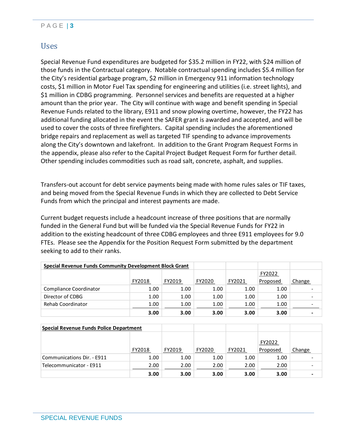### P A G E | **3**

### Uses

Special Revenue Fund expenditures are budgeted for \$35.2 million in FY22, with \$24 million of those funds in the Contractual category. Notable contractual spending includes \$5.4 million for the City's residential garbage program, \$2 million in Emergency 911 information technology costs, \$1 million in Motor Fuel Tax spending for engineering and utilities (i.e. street lights), and \$1 million in CDBG programming. Personnel services and benefits are requested at a higher amount than the prior year. The City will continue with wage and benefit spending in Special Revenue Funds related to the library, E911 and snow plowing overtime, however, the FY22 has additional funding allocated in the event the SAFER grant is awarded and accepted, and will be used to cover the costs of three firefighters. Capital spending includes the aforementioned bridge repairs and replacement as well as targeted TIF spending to advance improvements along the City's downtown and lakefront. In addition to the Grant Program Request Forms in the appendix, please also refer to the Capital Project Budget Request Form for further detail. Other spending includes commodities such as road salt, concrete, asphalt, and supplies.

Transfers-out account for debt service payments being made with home rules sales or TIF taxes, and being moved from the Special Revenue Funds in which they are collected to Debt Service Funds from which the principal and interest payments are made.

Current budget requests include a headcount increase of three positions that are normally funded in the General Fund but will be funded via the Special Revenue Funds for FY22 in addition to the existing headcount of three CDBG employees and three E911 employees for 9.0 FTEs. Please see the Appendix for the Position Request Form submitted by the department seeking to add to their ranks.

| <b>Special Revenue Funds Community Development Block Grant</b> |        |        |        |        |          |                          |
|----------------------------------------------------------------|--------|--------|--------|--------|----------|--------------------------|
|                                                                |        |        |        |        | FY2022   |                          |
|                                                                | FY2018 | FY2019 | FY2020 | FY2021 | Proposed | Change                   |
| Compliance Coordinator                                         | 1.00   | 1.00   | 1.00   | 1.00   | 1.00     |                          |
| Director of CDBG                                               | 1.00   | 1.00   | 1.00   | 1.00   | 1.00     | $\overline{\phantom{a}}$ |
| 1.00<br>Rehab Coordinator                                      |        | 1.00   | 1.00   | 1.00   | 1.00     | $\overline{\phantom{a}}$ |
|                                                                | 3.00   | 3.00   | 3.00   | 3.00   | 3.00     |                          |

| Special Revenue Funds Police Department |        |        |        |        |          |        |
|-----------------------------------------|--------|--------|--------|--------|----------|--------|
|                                         |        |        |        |        | FY2022   |        |
|                                         | FY2018 | FY2019 | FY2020 | FY2021 | Proposed | Change |
| Communications Dir. - E911              | 1.00   | 1.00   | 1.00   | 1.00   | 1.00     |        |
| Telecommunicator - E911                 | 2.00   | 2.00   | 2.00   | 2.00   | 2.00     |        |
|                                         | 3.00   | 3.00   | 3.00   | 3.00   | 3.00     |        |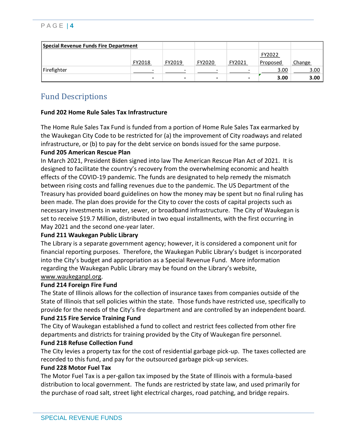### P A G E | **4**

| Special Revenue Funds Fire Department |                          |                          |                          |        |          |        |
|---------------------------------------|--------------------------|--------------------------|--------------------------|--------|----------|--------|
|                                       |                          |                          |                          |        | FY2022   |        |
|                                       | FY2018                   | FY2019                   | FY2020                   | FY2021 | Proposed | Change |
| Firefighter                           |                          | $\overline{\phantom{0}}$ |                          |        | 3.00     | 3.00   |
|                                       | $\overline{\phantom{a}}$ |                          | $\overline{\phantom{0}}$ |        | 3.00     | 3.00   |

### Fund Descriptions

#### **Fund 202 Home Rule Sales Tax Infrastructure**

The Home Rule Sales Tax Fund is funded from a portion of Home Rule Sales Tax earmarked by the Waukegan City Code to be restricted for (a) the improvement of City roadways and related infrastructure, or (b) to pay for the debt service on bonds issued for the same purpose. **Fund 205 American Rescue Plan** 

In March 2021, President Biden signed into law The American Rescue Plan Act of 2021. It is designed to facilitate the country's recovery from the overwhelming economic and health effects of the COVID-19 pandemic. The funds are designated to help remedy the mismatch between rising costs and falling revenues due to the pandemic. The US Department of the Treasury has provided board guidelines on how the money may be spent but no final ruling has been made. The plan does provide for the City to cover the costs of capital projects such as necessary investments in water, sewer, or broadband infrastructure. The City of Waukegan is set to receive \$19.7 Million, distributed in two equal installments, with the first occurring in May 2021 and the second one-year later.

### **Fund 211 Waukegan Public Library**

The Library is a separate government agency; however, it is considered a component unit for financial reporting purposes. Therefore, the Waukegan Public Library's budget is incorporated into the City's budget and appropriation as a Special Revenue Fund. More information regarding the Waukegan Public Library may be found on the Library's website, [www.waukeganpl.org.](http://www.waukeganpl.org/)

#### **Fund 214 Foreign Fire Fund**

The State of Illinois allows for the collection of insurance taxes from companies outside of the State of Illinois that sell policies within the state. Those funds have restricted use, specifically to provide for the needs of the City's fire department and are controlled by an independent board. **Fund 215 Fire Service Training Fund**

# The City of Waukegan established a fund to collect and restrict fees collected from other fire

departments and districts for training provided by the City of Waukegan fire personnel. **Fund 218 Refuse Collection Fund**

The City levies a property tax for the cost of residential garbage pick-up. The taxes collected are recorded to this fund, and pay for the outsourced garbage pick-up services.

#### **Fund 228 Motor Fuel Tax**

The Motor Fuel Tax is a per-gallon tax imposed by the State of Illinois with a formula-based distribution to local government. The funds are restricted by state law, and used primarily for the purchase of road salt, street light electrical charges, road patching, and bridge repairs.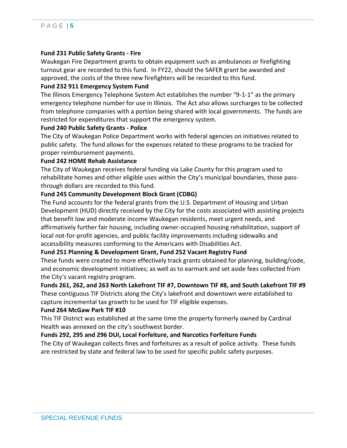#### **Fund 231 Public Safety Grants - Fire**

Waukegan Fire Department grants to obtain equipment such as ambulances or firefighting turnout gear are recorded to this fund. In FY22, should the SAFER grant be awarded and approved, the costs of the three new firefighters will be recorded to this fund.

#### **Fund 232 911 Emergency System Fund**

The Illinois Emergency Telephone System Act establishes the number "9-1-1" as the primary emergency telephone number for use in Illinois. The Act also allows surcharges to be collected from telephone companies with a portion being shared with local governments. The funds are restricted for expenditures that support the emergency system.

#### **Fund 240 Public Safety Grants - Police**

The City of Waukegan Police Department works with federal agencies on initiatives related to public safety. The fund allows for the expenses related to these programs to be tracked for proper reimbursement payments.

#### **Fund 242 HOME Rehab Assistance**

The City of Waukegan receives federal funding via Lake County for this program used to rehabilitate homes and other eligible uses within the City's municipal boundaries, those passthrough dollars are recorded to this fund.

#### **Fund 245 Community Development Block Grant (CDBG)**

The Fund accounts for the federal grants from the U.S. Department of Housing and Urban Development (HUD) directly received by the City for the costs associated with assisting projects that benefit low and moderate income Waukegan residents, meet urgent needs, and affirmatively further fair housing, including owner-occupied housing rehabilitation, support of local not-for-profit agencies, and public facility improvements including sidewalks and accessibility measures conforming to the Americans with Disabilities Act.

#### **Fund 251 Planning & Development Grant, Fund 252 Vacant Registry Fund**

These funds were created to more effectively track grants obtained for planning, building/code, and economic development initiatives; as well as to earmark and set aside fees collected from the City's vacant registry program.

#### **Funds 261, 262, and 263 North Lakefront TIF #7, Downtown TIF #8, and South Lakefront TIF #9**

These contiguous TIF Districts along the City's lakefront and downtown were established to capture incremental tax growth to be used for TIF eligible expenses.

#### **Fund 264 McGaw Park TIF #10**

This TIF District was established at the same time the property formerly owned by Cardinal Health was annexed on the city's southwest border.

#### **Funds 292, 295 and 296 DUI, Local Forfeiture, and Narcotics Forfeiture Funds**

The City of Waukegan collects fines and forfeitures as a result of police activity. These funds are restricted by state and federal law to be used for specific public safety purposes.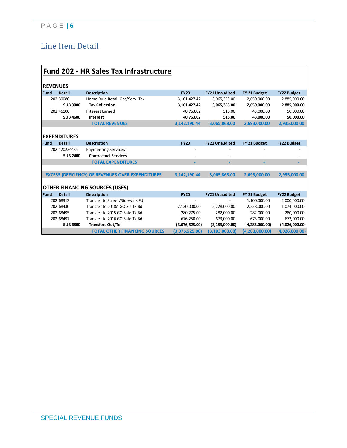# Line Item Detail

|             | <b>Fund 202 - HR Sales Tax Infrastructure</b> |                                                          |                |                       |                  |                    |  |  |  |  |  |
|-------------|-----------------------------------------------|----------------------------------------------------------|----------------|-----------------------|------------------|--------------------|--|--|--|--|--|
|             |                                               |                                                          |                |                       |                  |                    |  |  |  |  |  |
|             | <b>REVENUES</b>                               |                                                          |                |                       |                  |                    |  |  |  |  |  |
| <b>Fund</b> | <b>Detail</b>                                 | <b>Description</b>                                       | <b>FY20</b>    | <b>FY21 Unaudited</b> | FY 21 Budget     | <b>FY22 Budget</b> |  |  |  |  |  |
|             | 202 30080                                     | Home Rule Retail Occ/Serv. Tax                           | 3,101,427.42   | 3,065,353.00          | 2,650,000.00     | 2,885,000.00       |  |  |  |  |  |
|             | <b>SUB 3000</b>                               | <b>Tax Collection</b>                                    | 3,101,427.42   | 3,065,353.00          | 2,650,000.00     | 2,885,000.00       |  |  |  |  |  |
|             | 202 46100                                     | <b>Interest Earned</b>                                   | 40,763.02      | 515.00                | 43,000.00        | 50,000.00          |  |  |  |  |  |
|             | <b>SUB 4600</b>                               | Interest                                                 | 40,763.02      | 515.00                | 43,000.00        | 50,000.00          |  |  |  |  |  |
|             |                                               | <b>TOTAL REVENUES</b>                                    | 3,142,190.44   | 3,065,868.00          | 2,693,000.00     | 2,935,000.00       |  |  |  |  |  |
|             |                                               |                                                          |                |                       |                  |                    |  |  |  |  |  |
|             | <b>EXPENDITURES</b>                           |                                                          |                |                       |                  |                    |  |  |  |  |  |
| Fund        | <b>Detail</b>                                 | <b>Description</b>                                       | <b>FY20</b>    | <b>FY21 Unaudited</b> | FY 21 Budget     | <b>FY22 Budget</b> |  |  |  |  |  |
|             | 202 120224435                                 | <b>Engineering Services</b>                              |                |                       |                  |                    |  |  |  |  |  |
|             | <b>SUB 2400</b>                               | <b>Contractual Services</b>                              |                |                       |                  |                    |  |  |  |  |  |
|             |                                               | <b>TOTAL EXPENDITURES</b>                                |                |                       |                  |                    |  |  |  |  |  |
|             |                                               |                                                          |                |                       |                  |                    |  |  |  |  |  |
|             |                                               | <b>EXCESS (DEFICIENCY) OF REVENUES OVER EXPENDITURES</b> | 3.142.190.44   | 3,065,868.00          | 2.693.000.00     | 2,935,000.00       |  |  |  |  |  |
|             |                                               |                                                          |                |                       |                  |                    |  |  |  |  |  |
|             |                                               | <b>OTHER FINANCING SOURCES (USES)</b>                    |                |                       |                  |                    |  |  |  |  |  |
| <b>Fund</b> | <b>Detail</b>                                 | <b>Description</b>                                       | <b>FY20</b>    | <b>FY21 Unaudited</b> | FY 21 Budget     | <b>FY22 Budget</b> |  |  |  |  |  |
|             | 202 68312                                     | Transfer to Street/Sidewalk Fd                           |                |                       | 1,100,000.00     | 2,000,000.00       |  |  |  |  |  |
|             | 202 68430                                     | Transfer to 2018A GO SIs Tx Bd                           | 2,120,000.00   | 2,228,000.00          | 2,228,000.00     | 1,074,000.00       |  |  |  |  |  |
|             | 202 68495                                     | Transfer to 2015 GO Sale Tx Bd                           | 280,275.00     | 282,000.00            | 282,000.00       | 280,000.00         |  |  |  |  |  |
|             | 202 68497                                     | Transfer to 2016 GO Sale Tx Bd                           | 676,250.00     | 673,000.00            | 673,000.00       | 672,000.00         |  |  |  |  |  |
|             | <b>SUB 6800</b>                               | <b>Transfers Out/To</b>                                  | (3,076,525.00) | (3, 183, 000.00)      | (4,283,000.00)   | (4,026,000.00)     |  |  |  |  |  |
|             |                                               | <b>TOTAL OTHER FINANCING SOURCES</b>                     | (3.076.525.00) | (3, 183, 000.00)      | (4, 283, 000.00) | (4,026,000.00)     |  |  |  |  |  |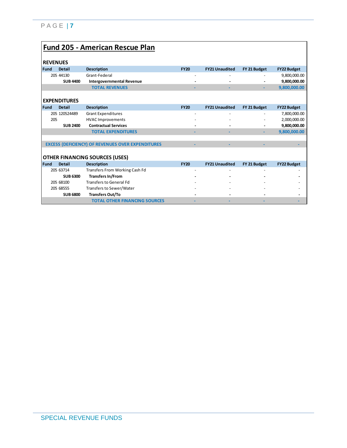|             | <b>Fund 205 - American Rescue Plan</b> |                                                          |             |                       |              |                    |  |  |  |  |
|-------------|----------------------------------------|----------------------------------------------------------|-------------|-----------------------|--------------|--------------------|--|--|--|--|
|             |                                        |                                                          |             |                       |              |                    |  |  |  |  |
|             | <b>REVENUES</b>                        |                                                          |             |                       |              |                    |  |  |  |  |
| <b>Fund</b> | <b>Detail</b>                          | <b>Description</b>                                       | <b>FY20</b> | <b>FY21 Unaudited</b> | FY 21 Budget | <b>FY22 Budget</b> |  |  |  |  |
|             |                                        |                                                          |             |                       |              |                    |  |  |  |  |
|             | 205 44130                              | Grant-Federal                                            |             |                       |              | 9,800,000.00       |  |  |  |  |
|             | <b>SUB 4400</b>                        | <b>Intergovernmental Revenue</b>                         |             |                       |              | 9,800,000.00       |  |  |  |  |
|             |                                        | <b>TOTAL REVENUES</b>                                    |             |                       | ٠            | 9,800,000.00       |  |  |  |  |
|             |                                        |                                                          |             |                       |              |                    |  |  |  |  |
|             | <b>EXPENDITURES</b>                    |                                                          |             |                       |              |                    |  |  |  |  |
| <b>Fund</b> | <b>Detail</b>                          | <b>Description</b>                                       | <b>FY20</b> | <b>FY21 Unaudited</b> | FY 21 Budget | <b>FY22 Budget</b> |  |  |  |  |
|             | 205 120524489                          | <b>Grant Expenditures</b>                                |             |                       |              | 7,800,000.00       |  |  |  |  |
| 205         |                                        | <b>HVAC Improvements</b>                                 |             |                       |              | 2,000,000.00       |  |  |  |  |
|             | <b>SUB 2400</b>                        | <b>Contractual Services</b>                              |             |                       |              | 9,800,000.00       |  |  |  |  |
|             |                                        | <b>TOTAL EXPENDITURES</b>                                |             |                       | ٠            | 9,800,000.00       |  |  |  |  |
|             |                                        |                                                          |             |                       |              |                    |  |  |  |  |
|             |                                        | <b>EXCESS (DEFICIENCY) OF REVENUES OVER EXPENDITURES</b> |             |                       |              |                    |  |  |  |  |
|             |                                        |                                                          |             |                       |              |                    |  |  |  |  |
|             |                                        | <b>OTHER FINANCING SOURCES (USES)</b>                    |             |                       |              |                    |  |  |  |  |
| <b>Fund</b> | <b>Detail</b>                          | <b>Description</b>                                       | <b>FY20</b> | <b>FY21 Unaudited</b> | FY 21 Budget | <b>FY22 Budget</b> |  |  |  |  |
|             | 205 63714                              | <b>Transfers From Working Cash Fd</b>                    |             |                       |              |                    |  |  |  |  |
|             | <b>SUB 6300</b>                        | <b>Transfers In/From</b>                                 |             |                       |              |                    |  |  |  |  |
|             | 205 68100                              | <b>Transfers to General Fd</b>                           |             |                       |              |                    |  |  |  |  |
|             | 205 68555                              | Transfers to Sewer/Water                                 |             |                       |              |                    |  |  |  |  |
|             | <b>SUB 6800</b>                        | <b>Transfers Out/To</b>                                  |             |                       |              |                    |  |  |  |  |
|             |                                        | <b>TOTAL OTHER FINANCING SOURCES</b>                     |             |                       |              |                    |  |  |  |  |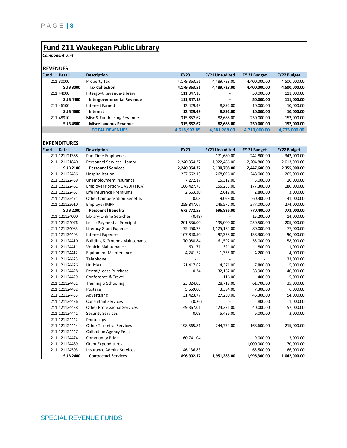### **Fund 211 Waukegan Public Library**

*Component Unit*

|      | <b>REVENUES</b>     |                                           |                          |                          |                          |                    |
|------|---------------------|-------------------------------------------|--------------------------|--------------------------|--------------------------|--------------------|
| Fund | <b>Detail</b>       | <b>Description</b>                        | <b>FY20</b>              | <b>FY21 Unaudited</b>    | FY 21 Budget             | <b>FY22 Budget</b> |
|      | 211 30000           | <b>Property Tax</b>                       | 4,179,363.51             | 4,489,728.00             | 4,400,000.00             | 4,500,000.00       |
|      | <b>SUB 3000</b>     | <b>Tax Collection</b>                     | 4,179,363.51             | 4,489,728.00             | 4,400,000.00             | 4,500,000.00       |
|      | 211 44000           | Intergovt Revenue-Library                 | 111,347.18               |                          | 50,000.00                | 111,000.00         |
|      | <b>SUB 4400</b>     | <b>Intergovernmental Revenue</b>          | 111,347.18               |                          | 50,000.00                | 111,000.00         |
|      | 211 46100           | <b>Interest Earned</b>                    | 12,429.49                | 8,892.00                 | 10,000.00                | 10,000.00          |
|      | <b>SUB 4600</b>     | Interest                                  | 12,429.49                | 8,892.00                 | 10,000.00                | 10,000.00          |
|      | 211 48910           | Misc & Fundraising Revenue                | 315,852.67               | 82,668.00                | 250,000.00               | 152,000.00         |
|      | <b>SUB 4800</b>     | <b>Miscellaneous Revenue</b>              | 315,852.67               | 82,668.00                | 250,000.00               | 152,000.00         |
|      |                     | <b>TOTAL REVENUES</b>                     | 4,618,992.85             | 4,581,288.00             | 4,710,000.00             | 4,773,000.00       |
|      |                     |                                           |                          |                          |                          |                    |
|      | <b>EXPENDITURES</b> |                                           |                          |                          |                          |                    |
| Fund | <b>Detail</b>       | <b>Description</b>                        | <b>FY20</b>              | <b>FY21 Unaudited</b>    | FY 21 Budget             | <b>FY22 Budget</b> |
|      | 211 121121368       | Part Time Employees                       |                          | 171,680.00               | 242,800.00               | 342,000.00         |
|      | 211 121121840       | Personnel Services-Library                | 2,240,354.37             | 1,922,466.00             | 2,204,800.00             | 2,013,000.00       |
|      | <b>SUB 2100</b>     | <b>Personnel Services</b>                 | 2,240,354.37             | 2,130,708.00             | 2,447,600.00             | 2,355,000.00       |
|      | 211 121122456       | Hospitalization                           | 237,662.13               | 268,026.00               | 248,000.00               | 265,000.00         |
|      | 211 121122459       | Unemployment Insurance                    | 7,272.17                 | 15,312.00                | 5,000.00                 | 10,000.00          |
|      | 211 121122461       | Employer Portion-OASDI (FICA)             | 166,427.78               | 155,255.00               | 177,300.00               | 180,000.00         |
|      | 211 121122467       | Life Insurance Premiums                   | 2,563.30                 | 2,612.00                 | 2,800.00                 | 3,000.00           |
|      | 211 121122471       | <b>Other Compensation Benefits</b>        | 0.08                     | 9,059.00                 | 60,300.00                | 41,000.00          |
|      | 211 121122610       | <b>Employer IMRF</b>                      | 259,847.07               | 246,572.00               | 277,000.00               | 274,000.00         |
|      | <b>SUB 2200</b>     | <b>Personnel Benefits</b>                 | 673,772.53               | 696,836.00               | 770,400.00               | 773,000.00         |
|      | 211 121124000       | Library-Online Searches                   | (0.49)                   |                          | 15,200.00                | 14,000.00          |
|      | 211 121124076       | Lease Payments - Principal                | 201,536.00               | 195,000.00               | 250,500.00               | 205,000.00         |
|      | 211 121124083       | <b>Literacy Grant Expense</b>             | 75,450.79                | 1,125,184.00             | 80,000.00                | 77,000.00          |
|      | 211 121124403       | <b>Interest Expense</b>                   | 107,848.50               | 97,338.00                | 138,300.00               | 90,000.00          |
|      | 211 121124410       | <b>Building &amp; Grounds Maintenance</b> | 70,988.84                | 61,592.00                | 55,000.00                | 58,000.00          |
|      | 211 121124411       | Vehicle Maintenance                       | 601.71                   | 321.00                   | 800.00                   | 1,000.00           |
|      | 211 121124412       | <b>Equipment Maintenance</b>              | 4,241.52                 | 1,335.00                 | 4,200.00                 | 4,000.00           |
|      | 211 121124423       | Telephone                                 |                          |                          |                          | 33,000.00          |
|      | 211 121124426       | Utilities                                 | 21,417.62                | 4,371.00                 | 7,800.00                 | 5,000.00           |
|      | 211 121124428       | Rental/Lease Purchase                     | 0.34                     | 32,162.00                | 38,900.00                | 40,000.00          |
|      | 211 121124429       | Conference & Travel                       |                          | 116.00                   | 400.00                   | 5,000.00           |
|      | 211 121124431       | Training & Schooling                      | 23,024.05                | 28,719.00                | 61,700.00                | 35,000.00          |
|      | 211 121124432       | Postage                                   | 5,559.00                 | 3,394.00                 | 7,300.00                 | 6,000.00           |
|      | 211 121124433       | Advertising                               | 31,423.77                | 27,230.00                | 46,300.00                | 54,000.00          |
|      | 211 121124436       | <b>Consultant Services</b>                | (0.26)                   |                          | 800.00                   | 1,000.00           |
|      | 211 121124438       | <b>Other Professional Services</b>        | 49.367.01                | 124,331.00               | 40,000.00                | 57,000.00          |
|      | 211 121124441       | <b>Security Services</b>                  | 0.09                     | 5,436.00                 | 6.000.00                 | 3,000.00           |
|      | 211 121124442       | Photocopy                                 | $\overline{\phantom{a}}$ | $\overline{\phantom{a}}$ |                          |                    |
|      | 211 121124444       | <b>Other Technical Services</b>           | 198,565.81               | 244,754.00               | 168,600.00               | 215,000.00         |
|      | 211 121124447       | <b>Collection Agency Fees</b>             | $\overline{\phantom{a}}$ |                          | $\overline{\phantom{a}}$ |                    |
|      | 211 121124474       | <b>Community Pride</b>                    | 60,741.04                |                          | 9,000.00                 | 3,000.00           |
|      | 211 121124489       | <b>Grant Expenditures</b>                 |                          |                          | 1,000,000.00             | 70,000.00          |
|      | 211 121124503       | Insurance Admin. Services                 | 46,136.83                |                          | 65,500.00                | 66,000.00          |
|      | <b>SUB 2400</b>     | <b>Contractual Services</b>               | 896,902.17               | 1,951,283.00             | 1,996,300.00             | 1,042,000.00       |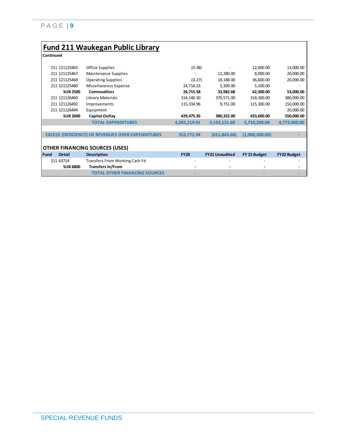|                  |                 | <b>Fund 211 Waukegan Public Library</b>                  |              |                       |                |                    |
|------------------|-----------------|----------------------------------------------------------|--------------|-----------------------|----------------|--------------------|
| <b>Continued</b> |                 |                                                          |              |                       |                |                    |
|                  | 211 121125465   | Office Supplies                                          | (0.38)       |                       | 12,600.00      | 13,000.00          |
|                  | 211 121125467   | Maintenance Supplies                                     |              | 12,280.00             | 8,000.00       | 20,000.00          |
|                  | 211 121125468   | <b>Operating Supplies</b>                                | (0.27)       | 18,188.00             | 36,600.00      | 20,000.00          |
|                  | 211 121125480   | Miscellaneous Expense                                    | 24,716.23    | 5,309.00              | 5,100.00       |                    |
|                  | <b>SUB 2500</b> | <b>Commodities</b>                                       | 24,715.58    | 33,982.68             | 62,300.00      | 53,000.00          |
|                  | 211 121126460   | Library Materials                                        | 314,140.30   | 370,571.00            | 318,300.00     | 380,000.00         |
|                  | 211 121126492   | Improvements                                             | 115,334.96   | 9,751.00              | 115,300.00     | 150,000.00         |
|                  | 211 121126494   | Equipment                                                |              |                       |                | 20,000.00          |
|                  | <b>SUB 2600</b> | <b>Capital Outlay</b>                                    | 429,475.26   | 380,322.00            | 433,600.00     | 550,000.00         |
|                  |                 | <b>TOTAL EXPENDITURES</b>                                | 4,265,219.91 | 5,193,131.68          | 5,710,200.00   | 4,773,000.00       |
|                  |                 |                                                          |              |                       |                |                    |
|                  |                 | <b>EXCESS (DEFICIENCY) OF REVENUES OVER EXPENDITURES</b> | 353,772.94   | (611, 843.68)         | (1,000,200.00) |                    |
|                  |                 |                                                          |              |                       |                |                    |
|                  |                 | <b>OTHER FINANCING SOURCES (USES)</b>                    |              |                       |                |                    |
| <b>Fund</b>      | <b>Detail</b>   | <b>Description</b>                                       | <b>FY20</b>  | <b>FY21 Unaudited</b> | FY 21 Budget   | <b>FY22 Budget</b> |
|                  | 211 63714       | Transfers From Working Cash Fd                           |              |                       |                |                    |
|                  | <b>SUB 6800</b> | <b>Transfers In/From</b>                                 |              |                       |                |                    |
|                  |                 | <b>TOTAL OTHER FINANCING SOURCES</b>                     |              |                       |                |                    |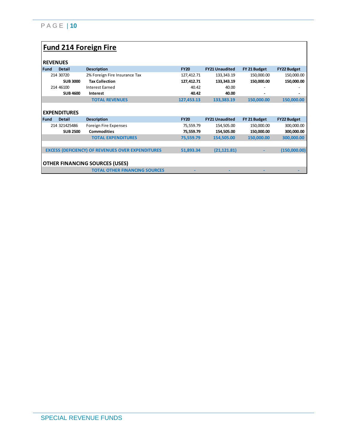# **Fund 214 Foreign Fire**

|             | <b>REVENUES</b>     |                                                          |             |                       |              |                    |
|-------------|---------------------|----------------------------------------------------------|-------------|-----------------------|--------------|--------------------|
| <b>Fund</b> | <b>Detail</b>       | <b>Description</b>                                       | <b>FY20</b> | <b>FY21 Unaudited</b> | FY 21 Budget | <b>FY22 Budget</b> |
|             | 214 30720           | 2% Foreign Fire Insurance Tax                            | 127,412.71  | 133,343.19            | 150,000.00   | 150,000.00         |
|             | <b>SUB 3000</b>     | <b>Tax Collection</b>                                    | 127,412.71  | 133,343.19            | 150,000.00   | 150,000.00         |
|             | 214 46100           | <b>Interest Earned</b>                                   | 40.42       | 40.00                 |              |                    |
|             | <b>SUB 4600</b>     | Interest                                                 | 40.42       | 40.00                 |              |                    |
|             |                     | <b>TOTAL REVENUES</b>                                    | 127,453.13  | 133,383.19            | 150,000.00   | 150,000.00         |
|             |                     |                                                          |             |                       |              |                    |
|             | <b>EXPENDITURES</b> |                                                          |             |                       |              |                    |
|             |                     |                                                          |             |                       |              |                    |
| <b>Fund</b> | <b>Detail</b>       | <b>Description</b>                                       | <b>FY20</b> | <b>FY21 Unaudited</b> | FY 21 Budget | <b>FY22 Budget</b> |
|             | 214 321425486       | Foreign Fire Expenses                                    | 75,559.79   | 154,505.00            | 150,000.00   | 300,000.00         |
|             | <b>SUB 2500</b>     | <b>Commodities</b>                                       | 75,559.79   | 154,505.00            | 150,000.00   | 300,000.00         |
|             |                     | <b>TOTAL EXPENDITURES</b>                                | 75,559.79   | 154,505.00            | 150,000.00   | 300.000.00         |
|             |                     |                                                          |             |                       |              |                    |
|             |                     | <b>EXCESS (DEFICIENCY) OF REVENUES OVER EXPENDITURES</b> | 51,893.34   | (21, 121.81)          |              |                    |
|             |                     |                                                          |             |                       |              |                    |
|             |                     | <b>OTHER FINANCING SOURCES (USES)</b>                    |             |                       |              | (150,000.00)       |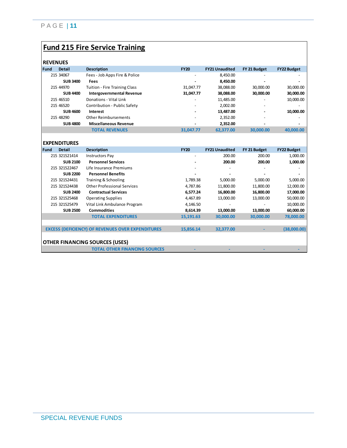# **Fund 215 Fire Service Training**

| <b>REVENUES</b> |                 |                                      |                          |                       |              |                          |
|-----------------|-----------------|--------------------------------------|--------------------------|-----------------------|--------------|--------------------------|
| <b>Fund</b>     | <b>Detail</b>   | <b>Description</b>                   | <b>FY20</b>              | <b>FY21 Unaudited</b> | FY 21 Budget | <b>FY22 Budget</b>       |
|                 | 215 34067       | Fees - Job Apps Fire & Police        |                          | 8,450.00              |              | $\overline{\phantom{a}}$ |
|                 | <b>SUB 3400</b> | Fees                                 | -                        | 8.450.00              |              |                          |
|                 | 215 44970       | <b>Tuition - Fire Training Class</b> | 31,047.77                | 38,088.00             | 30.000.00    | 30,000.00                |
|                 | <b>SUB 4400</b> | <b>Intergovernmental Revenue</b>     | 31,047.77                | 38,088.00             | 30,000.00    | 30,000.00                |
|                 | 215 46510       | Donations - Vital Link               | ۰                        | 11.485.00             |              | 10,000.00                |
|                 | 215 46520       | Contribution - Public Safety         | $\overline{\phantom{a}}$ | 2.002.00              |              |                          |
|                 | <b>SUB 4600</b> | Interest                             | $\overline{\phantom{0}}$ | 13,487.00             |              | 10,000.00                |
|                 | 215 48290       | Other Reimbursements                 | $\overline{\phantom{0}}$ | 2,352.00              |              |                          |
|                 | <b>SUB 4800</b> | <b>Miscellaneous Revenue</b>         | -                        | 2,352.00              |              | $\overline{\phantom{a}}$ |
|                 |                 | <b>TOTAL REVENUES</b>                | 31.047.77                | 62.377.00             | 30,000,00    | 40,000,00                |

|             | <b>EXPENDITURES</b>                   |                                                          |             |                       |              |                    |  |
|-------------|---------------------------------------|----------------------------------------------------------|-------------|-----------------------|--------------|--------------------|--|
| <b>Fund</b> | <b>Detail</b>                         | <b>Description</b>                                       | <b>FY20</b> | <b>FY21 Unaudited</b> | FY 21 Budget | <b>FY22 Budget</b> |  |
|             | 215 321521414                         | <b>Instructors Pay</b>                                   |             | 200.00                | 200.00       | 1,000.00           |  |
|             | <b>SUB 2100</b>                       | <b>Personnel Services</b>                                |             | 200.00                | 200.00       | 1,000.00           |  |
|             | 215 321522467                         | Life Insurance Premiums                                  |             |                       |              |                    |  |
|             | <b>SUB 2200</b>                       | <b>Personnel Benefits</b>                                |             |                       |              |                    |  |
|             | 215 321524431                         | Training & Schooling                                     | 1,789.38    | 5,000.00              | 5,000.00     | 5,000.00           |  |
|             | 215 321524438                         | <b>Other Professional Services</b>                       | 4,787.86    | 11,800.00             | 11,800.00    | 12,000.00          |  |
|             | <b>SUB 2400</b>                       | <b>Contractual Services</b>                              | 6,577.24    | 16,800.00             | 16,800.00    | 17,000.00          |  |
|             | 215 321525468                         | <b>Operating Supplies</b>                                | 4,467.89    | 13,000.00             | 13,000.00    | 50,000.00          |  |
|             | 215 321525479                         | Vital Link Ambulance Program                             | 4,146.50    |                       |              | 10,000.00          |  |
|             | <b>SUB 2500</b>                       | <b>Commodities</b>                                       | 8,614.39    | 13,000.00             | 13,000.00    | 60,000.00          |  |
|             |                                       | <b>TOTAL EXPENDITURES</b>                                | 15,191.63   | 30,000.00             | 30,000.00    | 78,000.00          |  |
|             |                                       |                                                          |             |                       |              |                    |  |
|             |                                       | <b>EXCESS (DEFICIENCY) OF REVENUES OVER EXPENDITURES</b> | 15,856.14   | 32,377.00             |              | (38,000.00)        |  |
|             |                                       |                                                          |             |                       |              |                    |  |
|             | <b>OTHER FINANCING SOURCES (USES)</b> |                                                          |             |                       |              |                    |  |
|             |                                       | <b>TOTAL OTHER FINANCING SOURCES</b>                     |             |                       |              |                    |  |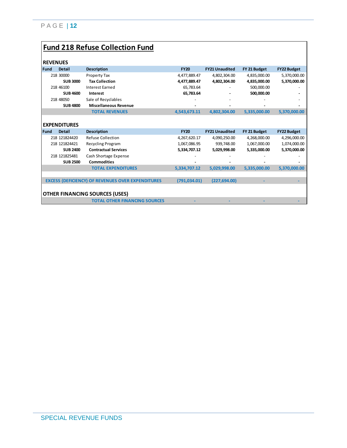# **Fund 218 Refuse Collection Fund**

| <b>REVENUES</b> |                     |                                                          |               |                       |              |                    |
|-----------------|---------------------|----------------------------------------------------------|---------------|-----------------------|--------------|--------------------|
| <b>Fund</b>     | <b>Detail</b>       | <b>Description</b>                                       | <b>FY20</b>   | <b>FY21 Unaudited</b> | FY 21 Budget | <b>FY22 Budget</b> |
|                 | 218 30000           | Property Tax                                             | 4,477,889.47  | 4,802,304.00          | 4,835,000.00 | 5,370,000.00       |
|                 | <b>SUB 3000</b>     | <b>Tax Collection</b>                                    | 4,477,889.47  | 4,802,304.00          | 4,835,000.00 | 5,370,000.00       |
|                 | 218 46100           | <b>Interest Earned</b>                                   | 65,783.64     |                       | 500,000.00   |                    |
|                 | <b>SUB 4600</b>     | Interest                                                 | 65,783.64     |                       | 500,000.00   |                    |
|                 | 218 48050           | Sale of Recyclables                                      |               |                       |              |                    |
|                 | <b>SUB 4800</b>     | <b>Miscellaneous Revenue</b>                             |               |                       |              |                    |
|                 |                     | <b>TOTAL REVENUES</b>                                    | 4,543,673.11  | 4,802,304.00          | 5,335,000.00 | 5,370,000.00       |
|                 |                     |                                                          |               |                       |              |                    |
|                 | <b>EXPENDITURES</b> |                                                          |               |                       |              |                    |
|                 |                     |                                                          |               |                       |              |                    |
| <b>Fund</b>     | <b>Detail</b>       | <b>Description</b>                                       | <b>FY20</b>   | <b>FY21 Unaudited</b> | FY 21 Budget | <b>FY22 Budget</b> |
|                 | 218 121824420       | Refuse Collection                                        | 4,267,620.17  | 4,090,250.00          | 4,268,000.00 | 4,296,000.00       |
|                 | 218 121824421       | <b>Recycling Program</b>                                 | 1,067,086.95  | 939,748.00            | 1,067,000.00 | 1,074,000.00       |
|                 | <b>SUB 2400</b>     | <b>Contractual Services</b>                              | 5,334,707.12  | 5,029,998.00          | 5,335,000.00 | 5,370,000.00       |
|                 | 218 121825481       | Cash Shortage Expense                                    |               |                       |              |                    |
|                 | <b>SUB 2500</b>     | <b>Commodities</b>                                       |               |                       |              |                    |
|                 |                     | <b>TOTAL EXPENDITURES</b>                                | 5,334,707.12  | 5,029,998.00          | 5,335,000.00 | 5,370,000.00       |
|                 |                     |                                                          |               |                       |              |                    |
|                 |                     | <b>EXCESS (DEFICIENCY) OF REVENUES OVER EXPENDITURES</b> | (791, 034.01) | (227, 694.00)         |              |                    |
|                 |                     |                                                          |               |                       |              |                    |
|                 |                     | <b>OTHER FINANCING SOURCES (USES)</b>                    |               |                       |              |                    |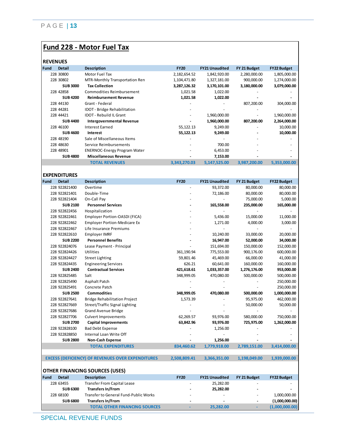### **Fund 228 - Motor Fuel Tax**

| <b>REVENUES</b> |  |  |
|-----------------|--|--|
|                 |  |  |

| REVENUES |                 |                                     |              |                       |              |                    |
|----------|-----------------|-------------------------------------|--------------|-----------------------|--------------|--------------------|
| Fund     | <b>Detail</b>   | <b>Description</b>                  | <b>FY20</b>  | <b>FY21 Unaudited</b> | FY 21 Budget | <b>FY22 Budget</b> |
|          | 228 30800       | Motor Fuel Tax                      | 2,182,654.52 | 1,842,920.00          | 2,280,000.00 | 1,805,000.00       |
|          | 228 30802       | MTR-Monthly Transportation Ren      | 1,104,471.80 | 1,327,181.00          | 900,000.00   | 1,274,000.00       |
|          | <b>SUB 3000</b> | <b>Tax Collection</b>               | 3,287,126.32 | 3,170,101.00          | 3,180,000.00 | 3,079,000.00       |
|          | 228 42858       | Commodities Reimbursement           | 1,021.58     | 1,022.00              |              |                    |
|          | <b>SUB4200</b>  | <b>Reimbursement Revenue</b>        | 1,021.58     | 1,022.00              |              |                    |
|          | 228 44130       | Grant - Federal                     |              |                       | 807,200.00   | 304,000.00         |
|          | 228 44281       | <b>IDOT</b> - Bridge Rehabilitation |              |                       |              |                    |
|          | 228 44421       | <b>IDOT</b> - Rebuild IL Grant      |              | 1,960,000.00          |              | 1,960,000.00       |
|          | <b>SUB 4400</b> | <b>Intergovernmental Revenue</b>    |              | 1,960,000.00          | 807,200.00   | 2,264,000.00       |
|          | 228 46100       | <b>Interest Earned</b>              | 55,122.13    | 9,249.00              |              | 10,000.00          |
|          | <b>SUB 4600</b> | Interest                            | 55,122.13    | 9,249.00              |              | 10,000.00          |
|          | 228 48190       | Sale of Miscellaneous Items         |              |                       |              |                    |
|          | 228 48630       | Service Reimbursements              |              | 700.00                |              |                    |
|          | 228 48901       | <b>ENERNOC-Energy Program Water</b> |              | 6,453.00              |              |                    |
|          | <b>SUB 4800</b> | <b>Miscellaneous Revenue</b>        |              | 7,153.00              |              |                    |
|          |                 | <b>TOTAL REVENUES</b>               | 3,343,270.03 | 5,147,525.00          | 3,987,200.00 | 5,353,000.00       |

**EXPENDITURES**

| Fund | <b>Detail</b>                         | <b>Description</b>                                       | <b>FY20</b>  | <b>FY21 Unaudited</b>    | FY 21 Budget             | <b>FY22 Budget</b> |  |  |
|------|---------------------------------------|----------------------------------------------------------|--------------|--------------------------|--------------------------|--------------------|--|--|
|      | 228 922821400                         | Overtime                                                 |              | 93,372.00                | 80,000.00                | 80,000.00          |  |  |
|      | 228 922821401                         | Double-Time                                              |              | 72,186.00                | 80,000.00                | 80,000.00          |  |  |
|      | 228 922821404                         | On-Call Pay                                              |              | $\overline{\phantom{a}}$ | 75,000.00                | 5,000.00           |  |  |
|      | <b>SUB 2100</b>                       | <b>Personnel Services</b>                                |              | 165,558.00               | 235,000.00               | 165,000.00         |  |  |
|      | 228 922822456                         | Hospitalization                                          |              |                          |                          |                    |  |  |
|      | 228 922822461                         | Employer Portion-OASDI (FICA)                            |              | 5,436.00                 | 15,000.00                | 11,000.00          |  |  |
|      | 228 922822462                         | <b>Employer Portion-Medicare Ex</b>                      |              | 1,271.00                 | 4,000.00                 | 3,000.00           |  |  |
|      | 228 922822467                         | Life Insurance Premiums                                  |              |                          |                          |                    |  |  |
|      | 228 922822610                         | <b>Employer IMRF</b>                                     |              | 10,240.00                | 33,000.00                | 20,000.00          |  |  |
|      | <b>SUB 2200</b>                       | <b>Personnel Benefits</b>                                |              | 16,947.00                | 52,000.00                | 34,000.00          |  |  |
|      | 228 922824076                         | Lease Payment - Principal                                |              | 151,694.00               | 150,000.00               | 152,000.00         |  |  |
|      | 228 922824426                         | Utilities                                                | 361,190.94   | 775,553.00               | 900,176.00               | 600,000.00         |  |  |
|      | 228 922824427                         | <b>Street Lighting</b>                                   | 59,801.46    | 45,469.00                | 66,000.00                | 41,000.00          |  |  |
|      | 228 922824435                         | <b>Engineering Services</b>                              | 626.21       | 60,641.00                | 160,000.00               | 160,000.00         |  |  |
|      | <b>SUB 2400</b>                       | <b>Contractual Services</b>                              | 421,618.61   | 1,033,357.00             | 1,276,176.00             | 953,000.00         |  |  |
|      | 228 922825485                         | Salt                                                     | 348,999.05   | 470,080.00               | 500,000.00               | 500,000.00         |  |  |
|      | 228 922825490                         | Asphalt Patch                                            |              |                          |                          | 250,000.00         |  |  |
|      | 228 922825491                         | Concrete Patch                                           |              |                          |                          | 250,000.00         |  |  |
|      | <b>SUB 2500</b>                       | <b>Commodities</b>                                       | 348,999.05   | 470,080.00               | 500,000.00               | 1,000,000.00       |  |  |
|      | 228 922827641                         | <b>Bridge Rehabilitation Project</b>                     | 1,573.39     |                          | 95,975.00                | 462,000.00         |  |  |
|      | 228 922827669                         | Street/Traffic Signal Lighting                           |              |                          | 50,000.00                | 50,000.00          |  |  |
|      | 228 922827686                         | <b>Grand Avenue Bridge</b>                               |              |                          |                          |                    |  |  |
|      | 228 922827706                         | <b>Culvert Improvements</b>                              | 62,269.57    | 93,976.00                | 580,000.00               | 750,000.00         |  |  |
|      | <b>SUB 2700</b>                       | <b>Capital Improvements</b>                              | 63,842.96    | 93,976.00                | 725,975.00               | 1,262,000.00       |  |  |
|      | 228 922828100                         | <b>Bad Debt Expense</b>                                  |              | 1,256.00                 |                          |                    |  |  |
|      | 228 922828850                         | Internal Loan Write Off                                  |              |                          |                          |                    |  |  |
|      | <b>SUB 2800</b>                       | <b>Non-Cash Expense</b>                                  |              | 1,256.00                 |                          |                    |  |  |
|      |                                       | <b>TOTAL EXPENDITURES</b>                                | 834,460.62   | 1,779,918.00             | 2,789,151.00             | 3,414,000.00       |  |  |
|      |                                       |                                                          |              |                          |                          |                    |  |  |
|      |                                       | <b>EXCESS (DEFICIENCY) OF REVENUES OVER EXPENDITURES</b> | 2,508,809.41 | 3,366,351.00             | 1,198,049.00             | 1,939,000.00       |  |  |
|      | <b>OTHER FINANCING SOURCES (USES)</b> |                                                          |              |                          |                          |                    |  |  |
| Fund | <b>Detail</b>                         | <b>Description</b>                                       | <b>FY20</b>  | <b>FY21 Unaudited</b>    | FY 21 Budget             | <b>FY22 Budget</b> |  |  |
|      | 228 63455                             | <b>Transfer From Capital Lease</b>                       |              | 25,282.00                |                          |                    |  |  |
|      | <b>SUB 6300</b>                       | <b>Transfers In/From</b>                                 |              | 25,282.00                |                          |                    |  |  |
|      | 228 68100                             | Transfer to General Fund-Public Works                    |              |                          |                          | 1,000,000.00       |  |  |
|      | <b>SUB 6800</b>                       | <b>Transfers In/From</b>                                 |              |                          | $\overline{\phantom{a}}$ | (1,000,000.00)     |  |  |
|      |                                       | <b>TOTAL OTHER FINANCING SOURCES</b>                     |              | 25,282.00                | ٠                        | (1,000,000.00)     |  |  |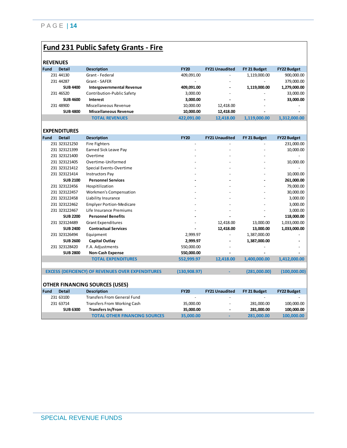# **Fund 231 Public Safety Grants - Fire**

| ----------  |                     |                                  |             |                       |              |                    |
|-------------|---------------------|----------------------------------|-------------|-----------------------|--------------|--------------------|
| <b>Fund</b> | <b>Detail</b>       | <b>Description</b>               | <b>FY20</b> | <b>FY21 Unaudited</b> | FY 21 Budget | <b>FY22 Budget</b> |
|             | 231 44130           | Grant - Federal                  | 409,091.00  |                       | 1,119,000.00 | 900,000.00         |
|             | 231 44287           | Grant - SAFER                    |             |                       |              | 379,000.00         |
|             | <b>SUB 4400</b>     | <b>Intergovernmental Revenue</b> | 409,091.00  |                       | 1,119,000.00 | 1,279,000.00       |
|             | 231 46520           | Contribution-Public Safety       | 3,000.00    |                       |              | 33,000.00          |
|             | <b>SUB 4600</b>     | Interest                         | 3,000.00    |                       |              | 33,000.00          |
|             | 231 48900           | Miscellaneous Revenue            | 10,000.00   | 12,418.00             |              | ٠                  |
|             | <b>SUB 4800</b>     | <b>Miscellaneous Revenue</b>     | 10,000.00   | 12,418.00             |              | ٠                  |
|             |                     | <b>TOTAL REVENUES</b>            | 422,091.00  | 12.418.00             | 1,119,000.00 | 1,312,000.00       |
|             |                     |                                  |             |                       |              |                    |
|             | <b>EXPENDITURES</b> |                                  |             |                       |              |                    |

| <b>Fund</b> | <b>Detail</b>   | <b>Description</b>                                       | <b>FY20</b>   | <b>FY21 Unaudited</b> | FY 21 Budget | <b>FY22 Budget</b> |
|-------------|-----------------|----------------------------------------------------------|---------------|-----------------------|--------------|--------------------|
|             | 231 323121250   | <b>Fire Fighters</b>                                     |               |                       |              | 231,000.00         |
|             | 231 323121399   | Earned Sick Leave Pay                                    |               |                       |              | 10,000.00          |
|             | 231 323121400   | Overtime                                                 |               |                       |              |                    |
|             | 231 323121405   | Overtime-Uniformed                                       |               |                       |              | 10,000.00          |
|             | 231 323121412   | Special Events-Overtime                                  |               |                       |              |                    |
|             | 231 323121414   | <b>Instructors Pay</b>                                   |               |                       |              | 10,000.00          |
|             | <b>SUB 2100</b> | <b>Personnel Services</b>                                |               |                       |              | 261,000.00         |
|             | 231 323122456   | Hospitilization                                          |               |                       |              | 79,000.00          |
|             | 231 323122457   | Workmen's Compensation                                   |               |                       |              | 30,000.00          |
|             | 231 323122458   | Liability Insurance                                      |               |                       |              | 3,000.00           |
|             | 231 323122462   | <b>Emplyer Portion-Medicare</b>                          |               |                       |              | 3,000.00           |
|             | 231 323122467   | Life Insurance Premiums                                  |               |                       |              | 3,000.00           |
|             | <b>SUB 2200</b> | <b>Personnel Benefits</b>                                |               |                       |              | 118,000.00         |
|             | 231 323124489   | <b>Grant Expenditures</b>                                |               | 12,418.00             | 13,000.00    | 1,033,000.00       |
|             | <b>SUB 2400</b> | <b>Contractual Services</b>                              |               | 12,418.00             | 13,000.00    | 1,033,000.00       |
|             | 231 323126494   | Equipment                                                | 2,999.97      |                       | 1,387,000.00 |                    |
|             | <b>SUB 2600</b> | <b>Capital Outlay</b>                                    | 2,999.97      |                       | 1,387,000.00 |                    |
|             | 231 323128420   | F.A. Adjustments                                         | 550,000.00    |                       |              |                    |
|             | <b>SUB 2800</b> | <b>Non-Cash Expense</b>                                  | 550,000.00    |                       |              |                    |
|             |                 | <b>TOTAL EXPENDITURES</b>                                | 552,999.97    | 12,418.00             | 1,400,000.00 | 1,412,000.00       |
|             |                 | <b>EXCESS (DEFICIENCY) OF REVENUES OVER EXPENDITURES</b> | (130, 908.97) |                       | (281,000.00) | (100,000.00)       |
|             |                 |                                                          |               |                       |              |                    |
|             |                 | <b>OTHER FINANCING SOURCES (USES)</b>                    |               |                       |              |                    |
| <b>Fund</b> | <b>Detail</b>   | <b>Description</b>                                       | <b>FY20</b>   | <b>FY21 Unaudited</b> | FY 21 Budget | <b>FY22 Budget</b> |
|             | 231 63100       | <b>Transfers From General Fund</b>                       |               |                       |              |                    |
|             | 231 63714       | <b>Transfers From Working Cash</b>                       | 35,000.00     |                       | 281,000.00   | 100,000.00         |
|             | <b>SUB 6300</b> | <b>Transfers In/From</b>                                 | 35,000.00     |                       | 281,000.00   | 100,000.00         |
|             |                 | <b>TOTAL OTHER FINANCING SOURCES</b>                     | 35,000.00     |                       | 281,000.00   | 100,000.00         |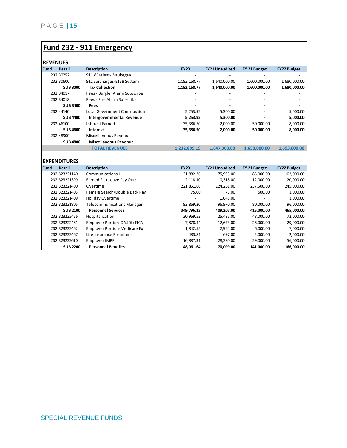### **Fund 232 - 911 Emergency**

### **REVENUES**

|      | REVENUES        |                                  |                          |                          |              |                    |
|------|-----------------|----------------------------------|--------------------------|--------------------------|--------------|--------------------|
| Fund | <b>Detail</b>   | <b>Description</b>               | <b>FY20</b>              | <b>FY21 Unaudited</b>    | FY 21 Budget | <b>FY22 Budget</b> |
|      | 232 30252       | 911 Wireless-Waukegan            |                          |                          |              |                    |
|      | 232 30600       | 911 Surcharges-ETSB System       | 1, 192, 168. 77          | 1,640,000.00             | 1,600,000.00 | 1,680,000.00       |
|      | <b>SUB 3000</b> | <b>Tax Collection</b>            | 1,192,168.77             | 1,640,000.00             | 1,600,000.00 | 1,680,000.00       |
|      | 232 34017       | Fees - Burgler Alarm Subscribe   |                          |                          |              |                    |
|      | 232 34018       | Fees - Fire Alarm Subscribe      | $\overline{\phantom{a}}$ | $\overline{\phantom{a}}$ |              |                    |
|      | <b>SUB 3400</b> | <b>Fees</b>                      |                          |                          |              |                    |
|      | 232 44140       | Local Government Contribution    | 5,253.92                 | 5,300.00                 |              | 5,000.00           |
|      | <b>SUB 4400</b> | <b>Intergovernmental Revenue</b> | 5,253.92                 | 5,300.00                 |              | 5,000.00           |
|      | 232 46100       | Interest Earned                  | 35,386.50                | 2,000.00                 | 50,000.00    | 8,000.00           |
|      | <b>SUB 4600</b> | Interest                         | 35,386.50                | 2,000.00                 | 50,000.00    | 8,000.00           |
|      | 232 48900       | Miscellaneous Revenue            |                          |                          |              |                    |
|      | <b>SUB 4800</b> | <b>Miscellaneous Revenue</b>     |                          |                          |              |                    |
|      |                 | <b>TOTAL REVENUES</b>            | 1,232,809.19             | 1,647,300.00             | 1,650,000.00 | 1,693,000.00       |
|      |                 |                                  |                          |                          |              |                    |

#### **EXPENDITURES**

| Fund | <b>Detail</b>   | <b>Description</b>                  | <b>FY20</b> | <b>FY21 Unaudited</b> | FY 21 Budget | <b>FY22 Budget</b> |
|------|-----------------|-------------------------------------|-------------|-----------------------|--------------|--------------------|
|      | 232 323221140   | Communications I                    | 31,882.36   | 75,935.00             | 85,000.00    | 102,000.00         |
|      | 232 323221399   | Earned Sick Leave Pay Outs          | 2.118.10    | 10,318.00             | 12,000.00    | 20,000.00          |
|      | 232 323221400   | Overtime                            | 221,851.66  | 224,261.00            | 237.500.00   | 245,000.00         |
|      | 232 323221403   | Female Search/Double Back Pay       | 75.00       | 75.00                 | 500.00       | 1,000.00           |
|      | 232 323221409   | <b>Holiday Overtime</b>             | -           | 1,648.00              |              | 1,000.00           |
|      | 232 323221805   | <b>Telecommunications Manager</b>   | 93,869.20   | 96.970.00             | 80.000.00    | 96,000.00          |
|      | <b>SUB 2100</b> | <b>Personnel Services</b>           | 349,796.32  | 409.207.00            | 415,000,00   | 465,000.00         |
|      | 232 323222456   | Hospitalization                     | 20,969.53   | 25,485.00             | 48,000.00    | 72,000.00          |
|      | 232 323222461   | Employer Portion-OASDI (FICA)       | 7.878.44    | 12.673.00             | 26.000.00    | 29,000.00          |
|      | 232 323222462   | <b>Employer Portion-Medicare Ex</b> | 1.842.55    | 2.964.00              | 6.000.00     | 7,000.00           |
|      | 232 323222467   | Life Insurance Premiums             | 483.81      | 697.00                | 2,000.00     | 2,000.00           |
|      | 232 323222610   | Employer IMRF                       | 16,887.31   | 28,280.00             | 59.000.00    | 56,000.00          |
|      | <b>SUB 2200</b> | <b>Personnel Benefits</b>           | 48,061.64   | 70,099.00             | 141.000.00   | 166.000.00         |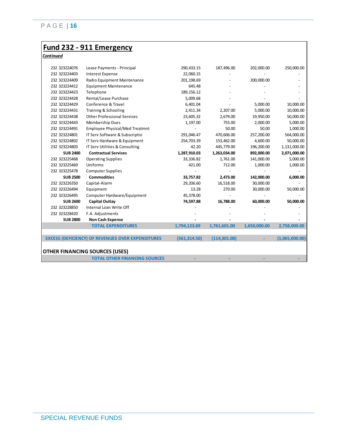#### **Fund 232 - 911 Emergency**

*Continued*

| 232 323224076   | Lease Payments - Principal                               | 290,433.15    | 187,496.00    | 202,000.00   | 250,000.00     |
|-----------------|----------------------------------------------------------|---------------|---------------|--------------|----------------|
| 232 323224403   | <b>Interest Expense</b>                                  | 22,060.15     |               |              |                |
| 232 323224409   | Radio Equipment Maintenance                              | 201,198.69    |               | 200,000.00   |                |
| 232 323224412   | <b>Equipment Maintenance</b>                             | 645.48        |               |              |                |
| 232 323224423   | Telephone                                                | 189,156.12    |               |              |                |
| 232 323224428   | Rental/Lease Purchase                                    | 5,009.68      |               |              |                |
| 232 323224429   | Conference & Travel                                      | 6,401.04      |               | 5,000.00     | 10,000.00      |
| 232 323224431   | Training & Schooling                                     | 2,411.34      | 2,207.00      | 5,000.00     | 10,000.00      |
| 232 323224438   | <b>Other Professional Services</b>                       | 23,605.32     | 2,679.00      | 19,950.00    | 50,000.00      |
| 232 323224443   | <b>Membership Dues</b>                                   | 1,197.00      | 755.00        | 2,000.00     | 5,000.00       |
| 232 323224491   | <b>Employee Physical/Med Treatmnt</b>                    |               | 50.00         | 50.00        | 1,000.00       |
| 232 323224801   | IT Serv Software & Subscriptio                           | 291,046.47    | 470,606.00    | 257,200.00   | 564,000.00     |
| 232 323224802   | IT Serv Hardware & Equipment                             | 254,703.39    | 153,462.00    | 4,600.00     | 50,000.00      |
| 232 323224803   | IT Serv Utilities & Consulting                           | 42.20         | 445,779.00    | 196,200.00   | 1,131,000.00   |
| <b>SUB 2400</b> | <b>Contractual Services</b>                              | 1,287,910.03  | 1,263,034.00  | 892,000.00   | 2,071,000.00   |
| 232 323225468   | <b>Operating Supplies</b>                                | 33,336.82     | 1,761.00      | 141,000.00   | 5,000.00       |
| 232 323225469   | Uniforms                                                 | 421.00        | 712.00        | 1,000.00     | 1,000.00       |
| 232 323225478   | <b>Computer Supplies</b>                                 |               |               |              |                |
| <b>SUB 2500</b> | <b>Commodities</b>                                       | 33,757.82     | 2,473.00      | 142,000.00   | 6,000.00       |
| 232 323226350   | Capital-Alarm                                            | 29,206.60     | 16,518.00     | 30,000.00    |                |
| 232 323226494   | Equipment                                                | 13.28         | 270.00        | 30,000.00    | 50,000.00      |
| 232 323226495   | Computer Hardware/Equipment                              | 45,378.00     |               |              |                |
| <b>SUB 2600</b> | <b>Capital Outlay</b>                                    | 74,597.88     | 16,788.00     | 60,000.00    | 50,000.00      |
| 232 323228850   | Internal Loan Write Off                                  |               |               |              |                |
| 232 323228420   | F.A. Adjustments                                         |               |               |              |                |
| <b>SUB 2800</b> | <b>Non Cash Expense</b>                                  |               |               |              |                |
|                 | <b>TOTAL EXPENDITURES</b>                                | 1,794,123.69  | 1,761,601.00  | 1,650,000.00 | 2,758,000.00   |
|                 |                                                          |               |               |              |                |
|                 | <b>EXCESS (DEFICIENCY) OF REVENUES OVER EXPENDITURES</b> | (561, 314.50) | (114, 301.00) |              | (1,065,000.00) |
|                 |                                                          |               |               |              |                |
|                 | <b>OTHER FINANCING SOURCES (USES)</b>                    |               |               |              |                |
|                 | <b>TOTAL OTHER FINANCING SOURCES</b>                     |               |               |              |                |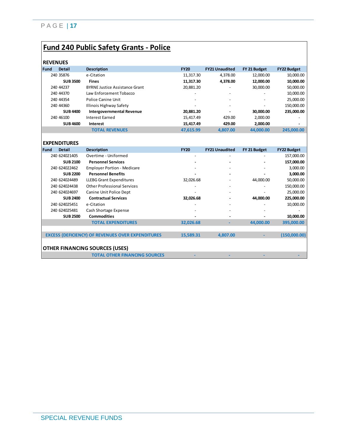# **Fund 240 Public Safety Grants - Police**

|             | REVENUEJ        |                                  |                          |                          |              |                          |  |  |  |
|-------------|-----------------|----------------------------------|--------------------------|--------------------------|--------------|--------------------------|--|--|--|
| <b>Fund</b> | <b>Detail</b>   | <b>Description</b>               | <b>FY20</b>              | <b>FY21 Unaudited</b>    | FY 21 Budget | <b>FY22 Budget</b>       |  |  |  |
|             | 240 35876       | e-Citation                       | 11,317.30                | 4.378.00                 | 12,000.00    | 10,000.00                |  |  |  |
|             | <b>SUB 3500</b> | <b>Fines</b>                     | 11.317.30                | 4.378.00                 | 12.000.00    | 10,000.00                |  |  |  |
|             | 240 44237       | BYRNE Justice Assistance Grant   | 20,881.20                | $\overline{\phantom{0}}$ | 30,000.00    | 50,000.00                |  |  |  |
|             | 240 44370       | Law Enforcement Tobacco          | -                        | $\overline{\phantom{0}}$ |              | 10,000.00                |  |  |  |
|             | 240 44354       | Police Canine Unit               | $\overline{\phantom{a}}$ |                          |              | 25,000.00                |  |  |  |
|             | 240 44360       | Illinois Highway Safety          | $\overline{\phantom{a}}$ |                          |              | 150,000.00               |  |  |  |
|             | <b>SUB 4400</b> | <b>Intergovernmental Revenue</b> | 20.881.20                | -                        | 30,000,00    | 235,000.00               |  |  |  |
|             | 240 46100       | Interest Earned                  | 15.417.49                | 429.00                   | 2.000.00     |                          |  |  |  |
|             | <b>SUB4600</b>  | Interest                         | 15.417.49                | 429.00                   | 2.000.00     | $\overline{\phantom{a}}$ |  |  |  |
|             |                 | <b>TOTAL REVENUES</b>            | 47.615.99                | 4.807.00                 | 44.000.00    | 245.000.00               |  |  |  |
|             |                 |                                  |                          |                          |              |                          |  |  |  |

|             | <b>EXPENDITURES</b>                   |                                                          |             |                          |              |                    |  |  |
|-------------|---------------------------------------|----------------------------------------------------------|-------------|--------------------------|--------------|--------------------|--|--|
| <b>Fund</b> | <b>Detail</b>                         | <b>Description</b>                                       | <b>FY20</b> | <b>FY21 Unaudited</b>    | FY 21 Budget | <b>FY22 Budget</b> |  |  |
|             | 240 624021405                         | Overtime - Uniformed                                     | ٠           | $\overline{\phantom{a}}$ |              | 157,000.00         |  |  |
|             | <b>SUB 2100</b>                       | <b>Personnel Services</b>                                |             |                          |              | 157,000.00         |  |  |
|             | 240 624022462                         | <b>Employer Portion - Medicare</b>                       |             | $\overline{\phantom{a}}$ |              | 3,000.00           |  |  |
|             | <b>SUB 2200</b>                       | <b>Personnel Benefits</b>                                |             |                          |              | 3,000.00           |  |  |
|             | 240 624024489                         | <b>LLEBG Grant Expenditures</b>                          | 32,026.68   |                          | 44,000.00    | 50,000.00          |  |  |
|             | 240 624024438                         | <b>Other Professional Services</b>                       |             |                          |              | 150,000.00         |  |  |
|             | 240 624024697                         | Canine Unit Police Dept                                  |             |                          |              | 25,000.00          |  |  |
|             | <b>SUB 2400</b>                       | <b>Contractual Services</b>                              | 32,026.68   |                          | 44,000.00    | 225,000.00         |  |  |
|             | 240 624025451                         | e-Citation                                               |             |                          |              | 10,000.00          |  |  |
|             | 240 624025481                         | Cash Shortage Expense                                    |             |                          |              |                    |  |  |
|             | <b>SUB 2500</b>                       | <b>Commodities</b>                                       |             |                          |              | 10,000.00          |  |  |
|             |                                       | <b>TOTAL EXPENDITURES</b>                                | 32,026.68   |                          | 44.000.00    | 395,000.00         |  |  |
|             |                                       |                                                          |             |                          |              |                    |  |  |
|             |                                       | <b>EXCESS (DEFICIENCY) OF REVENUES OVER EXPENDITURES</b> | 15,589.31   | 4,807.00                 |              | (150,000.00)       |  |  |
|             |                                       |                                                          |             |                          |              |                    |  |  |
|             | <b>OTHER FINANCING SOURCES (USES)</b> |                                                          |             |                          |              |                    |  |  |
|             |                                       | <b>TOTAL OTHER FINANCING SOURCES</b>                     |             |                          |              |                    |  |  |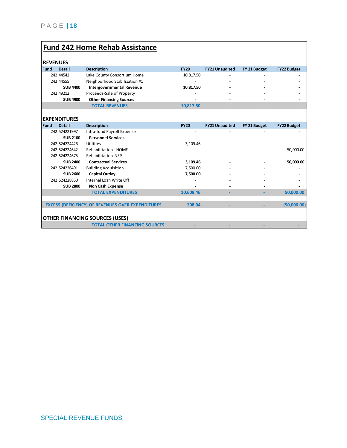### **Fund 242 Home Rehab Assistance**

|             | <b>KEVENUES</b>     |                                  |             |                       |              |                    |
|-------------|---------------------|----------------------------------|-------------|-----------------------|--------------|--------------------|
| <b>Fund</b> | <b>Detail</b>       | <b>Description</b>               | <b>FY20</b> | <b>FY21 Unaudited</b> | FY 21 Budget | <b>FY22 Budget</b> |
|             | 242 44542           | Lake County Consortium Home      | 10,817.50   |                       |              |                    |
|             | 242 44555           | Neighborhood Stabilization #1    |             |                       |              |                    |
|             | <b>SUB 4400</b>     | <b>Intergovernmental Revenue</b> | 10,817.50   |                       |              |                    |
|             | 242 49212           | Proceeds-Sale of Property        |             |                       |              |                    |
|             | <b>SUB 4900</b>     | <b>Other Financing Sources</b>   |             |                       |              |                    |
|             |                     | <b>TOTAL REVENUES</b>            | 10,817.50   |                       |              |                    |
|             |                     |                                  |             |                       |              |                    |
|             | <b>EXPENDITURES</b> |                                  |             |                       |              |                    |
| <b>Fund</b> | <b>Detail</b>       | <b>Description</b>               | <b>FY20</b> | <b>FY21 Unaudited</b> | FY 21 Budget | <b>FY22 Budget</b> |
|             | 242 524221997       | Intra-fund Payroll Expense       | ۰           |                       |              |                    |
|             | <b>SUB 2100</b>     | <b>Personnel Services</b>        |             |                       |              |                    |
|             | 242 524224426       | Utilities                        | 3,109.46    |                       |              |                    |
|             | 242 524224642       | Rehabilitation - HOME            |             |                       |              | 50,000.00          |
|             | 242 524224675       | Rehabilitation-NSP               |             |                       |              |                    |
|             | <b>SUB 2400</b>     | <b>Contractual Services</b>      | 3,109.46    |                       |              | 50,000.00          |
|             | 242 524226491       | <b>Building Acquisition</b>      | 7,500.00    |                       |              |                    |
|             | <b>SUB 2600</b>     | Capital Outlay                   | 7,500.00    |                       |              |                    |
|             | 242 524228850       | Internal Loan Write Off          |             |                       |              |                    |
|             | <b>SUB 2800</b>     | <b>Non Cash Expense</b>          |             |                       |              |                    |
|             |                     | <b>TOTAL EXPENDITURES</b>        | 10,609.46   |                       |              | 50,000.00          |
|             |                     |                                  |             |                       |              |                    |

EXCESS (DEFICIENCY) OF REVENUES OVER EXPENDITURES **208.04** - - (50,000.00)

# **OTHER FINANCING SOURCES (USES)**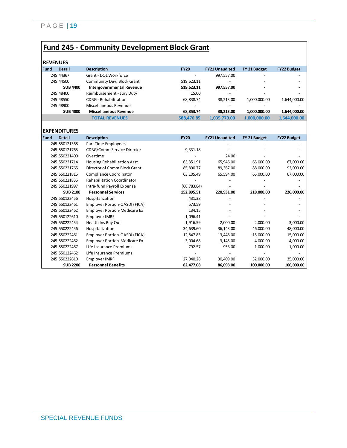# **Fund 245 - Community Development Block Grant**

| <b>Fund</b> | <b>Detail</b>       | <b>Description</b>                  | <b>FY20</b>  | <b>FY21 Unaudited</b> | FY 21 Budget | <b>FY22 Budget</b> |
|-------------|---------------------|-------------------------------------|--------------|-----------------------|--------------|--------------------|
|             | 245 44367           | Grant - DOL Workforce               |              | 997,557.00            |              |                    |
|             | 245 44500           | Community Dev. Block Grant          | 519,623.11   |                       |              |                    |
|             | <b>SUB 4400</b>     | <b>Intergovernmental Revenue</b>    | 519,623.11   | 997,557.00            |              |                    |
|             | 245 48400           | Reimbursement - Jury Duty           | 15.00        |                       |              |                    |
|             | 245 48550           | CDBG - Rehabilitation               | 68,838.74    | 38,213.00             | 1,000,000.00 | 1,644,000.00       |
|             | 245 48900           | Miscellaneous Revenue               |              |                       |              |                    |
|             | <b>SUB 4800</b>     | <b>Miscellaneous Revenue</b>        | 68,853.74    | 38,213.00             | 1,000,000.00 | 1,644,000.00       |
|             |                     | <b>TOTAL REVENUES</b>               | 588,476.85   | 1,035,770.00          | 1,000,000.00 | 1,644,000.00       |
|             | <b>EXPENDITURES</b> |                                     |              |                       |              |                    |
| Fund        | <b>Detail</b>       | <b>Description</b>                  | <b>FY20</b>  | <b>FY21 Unaudited</b> | FY 21 Budget | <b>FY22 Budget</b> |
|             | 245 550121368       | Part Time Employees                 |              |                       |              |                    |
|             | 245 550121765       | CDBG/Comm Service Director          | 9,331.18     |                       |              |                    |
|             | 245 550221400       | Overtime                            |              | 24.00                 |              |                    |
|             | 245 550221714       | Housing Rehabilitation Asst.        | 63,351.91    | 65,946.00             | 65,000.00    | 67,000.00          |
|             | 245 550221765       | Director of Comm Block Grant        | 85,890.77    | 89,367.00             | 88,000.00    | 92,000.00          |
|             | 245 550221815       | Compliance Coordinator              | 63,105.49    | 65,594.00             | 65,000.00    | 67,000.00          |
|             | 245 550221835       | <b>Rehabilitation Coordinator</b>   |              |                       |              |                    |
|             | 245 550221997       | Intra-fund Payroll Expense          | (68, 783.84) |                       |              |                    |
|             | <b>SUB 2100</b>     | <b>Personnel Services</b>           | 152,895.51   | 220,931.00            | 218,000.00   | 226,000.00         |
|             | 245 550122456       | Hospitalization                     | 431.38       |                       |              |                    |
|             | 245 550122461       | Employer Portion-OASDI (FICA)       | 573.59       |                       |              |                    |
|             | 245 550122462       | <b>Employer Portion-Medicare Ex</b> | 134.15       |                       |              |                    |
|             | 245 550122610       | <b>Employer IMRF</b>                | 1,096.41     |                       |              |                    |
|             | 245 550222454       | Health Ins Buy Out                  | 1,916.59     | 2,000.00              | 2,000.00     | 3,000.00           |
|             | 245 550222456       | Hospitalization                     | 34,639.60    | 36,143.00             | 46,000.00    | 48,000.00          |
|             | 245 550222461       | Employer Portion-OASDI (FICA)       | 12,847.83    | 13,448.00             | 15,000.00    | 15,000.00          |
|             | 245 550222462       | <b>Employer Portion-Medicare Ex</b> | 3,004.68     | 3,145.00              | 4,000.00     | 4,000.00           |
|             | 245 550222467       | Life Insurance Premiums             | 792.57       | 953.00                | 1,000.00     | 1,000.00           |
|             | 245 550122462       | Life Insurance Premiums             |              |                       |              |                    |
|             | 245 550222610       | <b>Employer IMRF</b>                | 27,040.28    | 30,409.00             | 32,000.00    | 35,000.00          |
|             | <b>SUB 2200</b>     | <b>Personnel Benefits</b>           | 82,477.08    | 86,098.00             | 100,000.00   | 106,000.00         |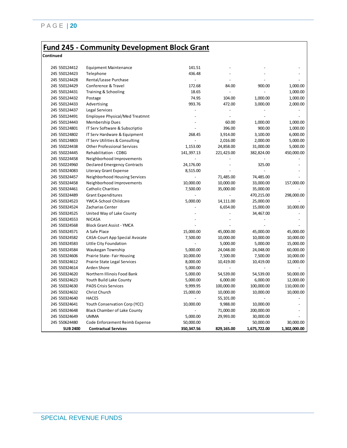### **Fund 245 - Community Development Block Grant**

**Continued**

| 245 550124412<br>141.51<br><b>Equipment Maintenance</b><br>436.48<br>245 550124423<br>Telephone<br>245 550124428<br>Rental/Lease Purchase<br>$\blacksquare$<br>245 550124429<br>Conference & Travel<br>172.68<br>84.00<br>900.00<br>1,000.00<br>245 550124431<br>Training & Schooling<br>18.65<br>1,000.00<br>$\overline{a}$<br>$\sim$<br>74.95<br>245 550124432<br>104.00<br>1,000.00<br>1,000.00<br>Postage<br>993.76<br>245 550124433<br>Advertising<br>472.00<br>3,000.00<br>2,000.00<br>245 550124437<br>Legal Services<br>Employee Physical/Med Treatmnt<br>245 550124491<br>$\overline{a}$<br>$\overline{a}$<br>$\overline{a}$<br>$\overline{a}$<br>245 550124443<br>Membership Dues<br>60.00<br>1,000.00<br>1,000.00<br>396.00<br>900.00<br>245 550124801<br>IT Serv Software & Subscriptio<br>1,000.00<br>245 550124802<br>IT Serv Hardware & Equipment<br>268.45<br>3,914.00<br>3,100.00<br>6,000.00<br>245 550124803<br>IT Serv Utilities & Consulting<br>5,000.00<br>2,016.00<br>2,000.00<br>245 550224438<br><b>Other Professional Services</b><br>1,153.00<br>24,858.00<br>31,000.00<br>5,000.00<br>245 550224445<br>Rehabilitation - CDBG<br>450,000.00<br>141,397.13<br>221,423.00<br>382,824.00<br>245 550224458<br>Neighborhood Improvements<br>245 550224960<br>24,176.00<br>325.00<br><b>Declared Emergency Contracts</b><br>245 550324083<br>Literacy Grant Expense<br>8,515.00<br>245 550324457<br>71,485.00<br>74,485.00<br>Neighborhood Housing Services<br>$\overline{\phantom{a}}$<br>245 550324458<br>Neighborhood Improvements<br>10,000.00<br>10,000.00<br>33,000.00<br>157,000.00<br>245 550324461<br><b>Catholic Charities</b><br>7,500.00<br>35,000.00<br>35,000.00<br>245 550324489<br><b>Grant Expenditures</b><br>470,215.00<br>298,000.00<br>$\overline{a}$<br>245 550324523<br>YWCA-School Childcare<br>5,000.00<br>14,111.00<br>25,000.00<br>245 550324524<br>6.654.00<br>Zacharias Center<br>15,000.00<br>10,000.00<br>$\overline{a}$<br>245 550324525<br>United Way of Lake County<br>34,467.00<br>$\overline{a}$<br>245 550324553<br><b>NICASA</b><br>$\overline{\phantom{a}}$<br>245 550324568<br><b>Block Grant Assist - YMCA</b><br>245 550324571<br>A Safe Place<br>15,000.00<br>45,000.00<br>45,000.00<br>45,000.00<br>245 550324582<br><b>CASA-Court App Special Avocate</b><br>7,500.00<br>10,000.00<br>10,000.00<br>10,000.00<br>245 550324583<br>15,000.00<br>Little City Foundation<br>5,000.00<br>5,000.00<br>$\blacksquare$<br>245 550324584<br>Waukegan Township<br>5,000.00<br>24,048.00<br>24,048.00<br>60,000.00<br>245 550324606<br>Prairie State-Fair Housing<br>10,000.00<br>7,500.00<br>7,500.00<br>10,000.00<br>245 550324612<br>8,000.00<br>12,000.00<br>Prairie State Legal Services<br>10,419.00<br>10,419.00<br>245 550324614<br>Arden Shore<br>5,000.00<br>245 550324620<br>Northern Illinois Food Bank<br>5,000.00<br>54,539.00<br>54,539.00<br>50,000.00<br>245 550324623<br>Youth Build Lake County<br>5,000.00<br>6,000.00<br>6,000.00<br>12,000.00<br>110,000.00<br>245 550324630<br><b>PADS Crisis Services</b><br>9,999.95<br>100,000.00<br>100,000.00<br>Christ Church<br>10,000.00<br>245 550324632<br>15,000.00<br>10,000.00<br>10,000.00<br>245 550324640<br><b>HACES</b><br>55,101.00<br>Youth Conservation Corp (YCC)<br>9,988.00<br>10,000.00<br>245 550324641<br>10,000.00<br>245 550324648<br><b>Black Chamber of Lake County</b><br>71,000.00<br>200,000.00<br>245 550324649<br><b>UMMA</b><br>5,000.00<br>29,993.00<br>30,000.00<br>245 550624480<br>Code Enforcement Reimb Expense<br>50,000.00<br>50,000.00<br>30,000.00<br><b>SUB 2400</b><br><b>Contractual Services</b><br>350,347.56<br>829,165.00<br>1,675,722.00<br>1,302,000.00 |  |  |  |
|-------------------------------------------------------------------------------------------------------------------------------------------------------------------------------------------------------------------------------------------------------------------------------------------------------------------------------------------------------------------------------------------------------------------------------------------------------------------------------------------------------------------------------------------------------------------------------------------------------------------------------------------------------------------------------------------------------------------------------------------------------------------------------------------------------------------------------------------------------------------------------------------------------------------------------------------------------------------------------------------------------------------------------------------------------------------------------------------------------------------------------------------------------------------------------------------------------------------------------------------------------------------------------------------------------------------------------------------------------------------------------------------------------------------------------------------------------------------------------------------------------------------------------------------------------------------------------------------------------------------------------------------------------------------------------------------------------------------------------------------------------------------------------------------------------------------------------------------------------------------------------------------------------------------------------------------------------------------------------------------------------------------------------------------------------------------------------------------------------------------------------------------------------------------------------------------------------------------------------------------------------------------------------------------------------------------------------------------------------------------------------------------------------------------------------------------------------------------------------------------------------------------------------------------------------------------------------------------------------------------------------------------------------------------------------------------------------------------------------------------------------------------------------------------------------------------------------------------------------------------------------------------------------------------------------------------------------------------------------------------------------------------------------------------------------------------------------------------------------------------------------------------------------------------------------------------------------------------------------------------------------------------------------------------------------------------------------------------------------------------------------------------------------------------------------------------------------------------------------------------------------------------------------------------------------------------------------------------------------------------------------------------------------------------------------------------------------------------------------|--|--|--|
|                                                                                                                                                                                                                                                                                                                                                                                                                                                                                                                                                                                                                                                                                                                                                                                                                                                                                                                                                                                                                                                                                                                                                                                                                                                                                                                                                                                                                                                                                                                                                                                                                                                                                                                                                                                                                                                                                                                                                                                                                                                                                                                                                                                                                                                                                                                                                                                                                                                                                                                                                                                                                                                                                                                                                                                                                                                                                                                                                                                                                                                                                                                                                                                                                                                                                                                                                                                                                                                                                                                                                                                                                                                                                                                               |  |  |  |
|                                                                                                                                                                                                                                                                                                                                                                                                                                                                                                                                                                                                                                                                                                                                                                                                                                                                                                                                                                                                                                                                                                                                                                                                                                                                                                                                                                                                                                                                                                                                                                                                                                                                                                                                                                                                                                                                                                                                                                                                                                                                                                                                                                                                                                                                                                                                                                                                                                                                                                                                                                                                                                                                                                                                                                                                                                                                                                                                                                                                                                                                                                                                                                                                                                                                                                                                                                                                                                                                                                                                                                                                                                                                                                                               |  |  |  |
|                                                                                                                                                                                                                                                                                                                                                                                                                                                                                                                                                                                                                                                                                                                                                                                                                                                                                                                                                                                                                                                                                                                                                                                                                                                                                                                                                                                                                                                                                                                                                                                                                                                                                                                                                                                                                                                                                                                                                                                                                                                                                                                                                                                                                                                                                                                                                                                                                                                                                                                                                                                                                                                                                                                                                                                                                                                                                                                                                                                                                                                                                                                                                                                                                                                                                                                                                                                                                                                                                                                                                                                                                                                                                                                               |  |  |  |
|                                                                                                                                                                                                                                                                                                                                                                                                                                                                                                                                                                                                                                                                                                                                                                                                                                                                                                                                                                                                                                                                                                                                                                                                                                                                                                                                                                                                                                                                                                                                                                                                                                                                                                                                                                                                                                                                                                                                                                                                                                                                                                                                                                                                                                                                                                                                                                                                                                                                                                                                                                                                                                                                                                                                                                                                                                                                                                                                                                                                                                                                                                                                                                                                                                                                                                                                                                                                                                                                                                                                                                                                                                                                                                                               |  |  |  |
|                                                                                                                                                                                                                                                                                                                                                                                                                                                                                                                                                                                                                                                                                                                                                                                                                                                                                                                                                                                                                                                                                                                                                                                                                                                                                                                                                                                                                                                                                                                                                                                                                                                                                                                                                                                                                                                                                                                                                                                                                                                                                                                                                                                                                                                                                                                                                                                                                                                                                                                                                                                                                                                                                                                                                                                                                                                                                                                                                                                                                                                                                                                                                                                                                                                                                                                                                                                                                                                                                                                                                                                                                                                                                                                               |  |  |  |
|                                                                                                                                                                                                                                                                                                                                                                                                                                                                                                                                                                                                                                                                                                                                                                                                                                                                                                                                                                                                                                                                                                                                                                                                                                                                                                                                                                                                                                                                                                                                                                                                                                                                                                                                                                                                                                                                                                                                                                                                                                                                                                                                                                                                                                                                                                                                                                                                                                                                                                                                                                                                                                                                                                                                                                                                                                                                                                                                                                                                                                                                                                                                                                                                                                                                                                                                                                                                                                                                                                                                                                                                                                                                                                                               |  |  |  |
|                                                                                                                                                                                                                                                                                                                                                                                                                                                                                                                                                                                                                                                                                                                                                                                                                                                                                                                                                                                                                                                                                                                                                                                                                                                                                                                                                                                                                                                                                                                                                                                                                                                                                                                                                                                                                                                                                                                                                                                                                                                                                                                                                                                                                                                                                                                                                                                                                                                                                                                                                                                                                                                                                                                                                                                                                                                                                                                                                                                                                                                                                                                                                                                                                                                                                                                                                                                                                                                                                                                                                                                                                                                                                                                               |  |  |  |
|                                                                                                                                                                                                                                                                                                                                                                                                                                                                                                                                                                                                                                                                                                                                                                                                                                                                                                                                                                                                                                                                                                                                                                                                                                                                                                                                                                                                                                                                                                                                                                                                                                                                                                                                                                                                                                                                                                                                                                                                                                                                                                                                                                                                                                                                                                                                                                                                                                                                                                                                                                                                                                                                                                                                                                                                                                                                                                                                                                                                                                                                                                                                                                                                                                                                                                                                                                                                                                                                                                                                                                                                                                                                                                                               |  |  |  |
|                                                                                                                                                                                                                                                                                                                                                                                                                                                                                                                                                                                                                                                                                                                                                                                                                                                                                                                                                                                                                                                                                                                                                                                                                                                                                                                                                                                                                                                                                                                                                                                                                                                                                                                                                                                                                                                                                                                                                                                                                                                                                                                                                                                                                                                                                                                                                                                                                                                                                                                                                                                                                                                                                                                                                                                                                                                                                                                                                                                                                                                                                                                                                                                                                                                                                                                                                                                                                                                                                                                                                                                                                                                                                                                               |  |  |  |
|                                                                                                                                                                                                                                                                                                                                                                                                                                                                                                                                                                                                                                                                                                                                                                                                                                                                                                                                                                                                                                                                                                                                                                                                                                                                                                                                                                                                                                                                                                                                                                                                                                                                                                                                                                                                                                                                                                                                                                                                                                                                                                                                                                                                                                                                                                                                                                                                                                                                                                                                                                                                                                                                                                                                                                                                                                                                                                                                                                                                                                                                                                                                                                                                                                                                                                                                                                                                                                                                                                                                                                                                                                                                                                                               |  |  |  |
|                                                                                                                                                                                                                                                                                                                                                                                                                                                                                                                                                                                                                                                                                                                                                                                                                                                                                                                                                                                                                                                                                                                                                                                                                                                                                                                                                                                                                                                                                                                                                                                                                                                                                                                                                                                                                                                                                                                                                                                                                                                                                                                                                                                                                                                                                                                                                                                                                                                                                                                                                                                                                                                                                                                                                                                                                                                                                                                                                                                                                                                                                                                                                                                                                                                                                                                                                                                                                                                                                                                                                                                                                                                                                                                               |  |  |  |
|                                                                                                                                                                                                                                                                                                                                                                                                                                                                                                                                                                                                                                                                                                                                                                                                                                                                                                                                                                                                                                                                                                                                                                                                                                                                                                                                                                                                                                                                                                                                                                                                                                                                                                                                                                                                                                                                                                                                                                                                                                                                                                                                                                                                                                                                                                                                                                                                                                                                                                                                                                                                                                                                                                                                                                                                                                                                                                                                                                                                                                                                                                                                                                                                                                                                                                                                                                                                                                                                                                                                                                                                                                                                                                                               |  |  |  |
|                                                                                                                                                                                                                                                                                                                                                                                                                                                                                                                                                                                                                                                                                                                                                                                                                                                                                                                                                                                                                                                                                                                                                                                                                                                                                                                                                                                                                                                                                                                                                                                                                                                                                                                                                                                                                                                                                                                                                                                                                                                                                                                                                                                                                                                                                                                                                                                                                                                                                                                                                                                                                                                                                                                                                                                                                                                                                                                                                                                                                                                                                                                                                                                                                                                                                                                                                                                                                                                                                                                                                                                                                                                                                                                               |  |  |  |
|                                                                                                                                                                                                                                                                                                                                                                                                                                                                                                                                                                                                                                                                                                                                                                                                                                                                                                                                                                                                                                                                                                                                                                                                                                                                                                                                                                                                                                                                                                                                                                                                                                                                                                                                                                                                                                                                                                                                                                                                                                                                                                                                                                                                                                                                                                                                                                                                                                                                                                                                                                                                                                                                                                                                                                                                                                                                                                                                                                                                                                                                                                                                                                                                                                                                                                                                                                                                                                                                                                                                                                                                                                                                                                                               |  |  |  |
|                                                                                                                                                                                                                                                                                                                                                                                                                                                                                                                                                                                                                                                                                                                                                                                                                                                                                                                                                                                                                                                                                                                                                                                                                                                                                                                                                                                                                                                                                                                                                                                                                                                                                                                                                                                                                                                                                                                                                                                                                                                                                                                                                                                                                                                                                                                                                                                                                                                                                                                                                                                                                                                                                                                                                                                                                                                                                                                                                                                                                                                                                                                                                                                                                                                                                                                                                                                                                                                                                                                                                                                                                                                                                                                               |  |  |  |
|                                                                                                                                                                                                                                                                                                                                                                                                                                                                                                                                                                                                                                                                                                                                                                                                                                                                                                                                                                                                                                                                                                                                                                                                                                                                                                                                                                                                                                                                                                                                                                                                                                                                                                                                                                                                                                                                                                                                                                                                                                                                                                                                                                                                                                                                                                                                                                                                                                                                                                                                                                                                                                                                                                                                                                                                                                                                                                                                                                                                                                                                                                                                                                                                                                                                                                                                                                                                                                                                                                                                                                                                                                                                                                                               |  |  |  |
|                                                                                                                                                                                                                                                                                                                                                                                                                                                                                                                                                                                                                                                                                                                                                                                                                                                                                                                                                                                                                                                                                                                                                                                                                                                                                                                                                                                                                                                                                                                                                                                                                                                                                                                                                                                                                                                                                                                                                                                                                                                                                                                                                                                                                                                                                                                                                                                                                                                                                                                                                                                                                                                                                                                                                                                                                                                                                                                                                                                                                                                                                                                                                                                                                                                                                                                                                                                                                                                                                                                                                                                                                                                                                                                               |  |  |  |
|                                                                                                                                                                                                                                                                                                                                                                                                                                                                                                                                                                                                                                                                                                                                                                                                                                                                                                                                                                                                                                                                                                                                                                                                                                                                                                                                                                                                                                                                                                                                                                                                                                                                                                                                                                                                                                                                                                                                                                                                                                                                                                                                                                                                                                                                                                                                                                                                                                                                                                                                                                                                                                                                                                                                                                                                                                                                                                                                                                                                                                                                                                                                                                                                                                                                                                                                                                                                                                                                                                                                                                                                                                                                                                                               |  |  |  |
|                                                                                                                                                                                                                                                                                                                                                                                                                                                                                                                                                                                                                                                                                                                                                                                                                                                                                                                                                                                                                                                                                                                                                                                                                                                                                                                                                                                                                                                                                                                                                                                                                                                                                                                                                                                                                                                                                                                                                                                                                                                                                                                                                                                                                                                                                                                                                                                                                                                                                                                                                                                                                                                                                                                                                                                                                                                                                                                                                                                                                                                                                                                                                                                                                                                                                                                                                                                                                                                                                                                                                                                                                                                                                                                               |  |  |  |
|                                                                                                                                                                                                                                                                                                                                                                                                                                                                                                                                                                                                                                                                                                                                                                                                                                                                                                                                                                                                                                                                                                                                                                                                                                                                                                                                                                                                                                                                                                                                                                                                                                                                                                                                                                                                                                                                                                                                                                                                                                                                                                                                                                                                                                                                                                                                                                                                                                                                                                                                                                                                                                                                                                                                                                                                                                                                                                                                                                                                                                                                                                                                                                                                                                                                                                                                                                                                                                                                                                                                                                                                                                                                                                                               |  |  |  |
|                                                                                                                                                                                                                                                                                                                                                                                                                                                                                                                                                                                                                                                                                                                                                                                                                                                                                                                                                                                                                                                                                                                                                                                                                                                                                                                                                                                                                                                                                                                                                                                                                                                                                                                                                                                                                                                                                                                                                                                                                                                                                                                                                                                                                                                                                                                                                                                                                                                                                                                                                                                                                                                                                                                                                                                                                                                                                                                                                                                                                                                                                                                                                                                                                                                                                                                                                                                                                                                                                                                                                                                                                                                                                                                               |  |  |  |
|                                                                                                                                                                                                                                                                                                                                                                                                                                                                                                                                                                                                                                                                                                                                                                                                                                                                                                                                                                                                                                                                                                                                                                                                                                                                                                                                                                                                                                                                                                                                                                                                                                                                                                                                                                                                                                                                                                                                                                                                                                                                                                                                                                                                                                                                                                                                                                                                                                                                                                                                                                                                                                                                                                                                                                                                                                                                                                                                                                                                                                                                                                                                                                                                                                                                                                                                                                                                                                                                                                                                                                                                                                                                                                                               |  |  |  |
|                                                                                                                                                                                                                                                                                                                                                                                                                                                                                                                                                                                                                                                                                                                                                                                                                                                                                                                                                                                                                                                                                                                                                                                                                                                                                                                                                                                                                                                                                                                                                                                                                                                                                                                                                                                                                                                                                                                                                                                                                                                                                                                                                                                                                                                                                                                                                                                                                                                                                                                                                                                                                                                                                                                                                                                                                                                                                                                                                                                                                                                                                                                                                                                                                                                                                                                                                                                                                                                                                                                                                                                                                                                                                                                               |  |  |  |
|                                                                                                                                                                                                                                                                                                                                                                                                                                                                                                                                                                                                                                                                                                                                                                                                                                                                                                                                                                                                                                                                                                                                                                                                                                                                                                                                                                                                                                                                                                                                                                                                                                                                                                                                                                                                                                                                                                                                                                                                                                                                                                                                                                                                                                                                                                                                                                                                                                                                                                                                                                                                                                                                                                                                                                                                                                                                                                                                                                                                                                                                                                                                                                                                                                                                                                                                                                                                                                                                                                                                                                                                                                                                                                                               |  |  |  |
|                                                                                                                                                                                                                                                                                                                                                                                                                                                                                                                                                                                                                                                                                                                                                                                                                                                                                                                                                                                                                                                                                                                                                                                                                                                                                                                                                                                                                                                                                                                                                                                                                                                                                                                                                                                                                                                                                                                                                                                                                                                                                                                                                                                                                                                                                                                                                                                                                                                                                                                                                                                                                                                                                                                                                                                                                                                                                                                                                                                                                                                                                                                                                                                                                                                                                                                                                                                                                                                                                                                                                                                                                                                                                                                               |  |  |  |
|                                                                                                                                                                                                                                                                                                                                                                                                                                                                                                                                                                                                                                                                                                                                                                                                                                                                                                                                                                                                                                                                                                                                                                                                                                                                                                                                                                                                                                                                                                                                                                                                                                                                                                                                                                                                                                                                                                                                                                                                                                                                                                                                                                                                                                                                                                                                                                                                                                                                                                                                                                                                                                                                                                                                                                                                                                                                                                                                                                                                                                                                                                                                                                                                                                                                                                                                                                                                                                                                                                                                                                                                                                                                                                                               |  |  |  |
|                                                                                                                                                                                                                                                                                                                                                                                                                                                                                                                                                                                                                                                                                                                                                                                                                                                                                                                                                                                                                                                                                                                                                                                                                                                                                                                                                                                                                                                                                                                                                                                                                                                                                                                                                                                                                                                                                                                                                                                                                                                                                                                                                                                                                                                                                                                                                                                                                                                                                                                                                                                                                                                                                                                                                                                                                                                                                                                                                                                                                                                                                                                                                                                                                                                                                                                                                                                                                                                                                                                                                                                                                                                                                                                               |  |  |  |
|                                                                                                                                                                                                                                                                                                                                                                                                                                                                                                                                                                                                                                                                                                                                                                                                                                                                                                                                                                                                                                                                                                                                                                                                                                                                                                                                                                                                                                                                                                                                                                                                                                                                                                                                                                                                                                                                                                                                                                                                                                                                                                                                                                                                                                                                                                                                                                                                                                                                                                                                                                                                                                                                                                                                                                                                                                                                                                                                                                                                                                                                                                                                                                                                                                                                                                                                                                                                                                                                                                                                                                                                                                                                                                                               |  |  |  |
|                                                                                                                                                                                                                                                                                                                                                                                                                                                                                                                                                                                                                                                                                                                                                                                                                                                                                                                                                                                                                                                                                                                                                                                                                                                                                                                                                                                                                                                                                                                                                                                                                                                                                                                                                                                                                                                                                                                                                                                                                                                                                                                                                                                                                                                                                                                                                                                                                                                                                                                                                                                                                                                                                                                                                                                                                                                                                                                                                                                                                                                                                                                                                                                                                                                                                                                                                                                                                                                                                                                                                                                                                                                                                                                               |  |  |  |
|                                                                                                                                                                                                                                                                                                                                                                                                                                                                                                                                                                                                                                                                                                                                                                                                                                                                                                                                                                                                                                                                                                                                                                                                                                                                                                                                                                                                                                                                                                                                                                                                                                                                                                                                                                                                                                                                                                                                                                                                                                                                                                                                                                                                                                                                                                                                                                                                                                                                                                                                                                                                                                                                                                                                                                                                                                                                                                                                                                                                                                                                                                                                                                                                                                                                                                                                                                                                                                                                                                                                                                                                                                                                                                                               |  |  |  |
|                                                                                                                                                                                                                                                                                                                                                                                                                                                                                                                                                                                                                                                                                                                                                                                                                                                                                                                                                                                                                                                                                                                                                                                                                                                                                                                                                                                                                                                                                                                                                                                                                                                                                                                                                                                                                                                                                                                                                                                                                                                                                                                                                                                                                                                                                                                                                                                                                                                                                                                                                                                                                                                                                                                                                                                                                                                                                                                                                                                                                                                                                                                                                                                                                                                                                                                                                                                                                                                                                                                                                                                                                                                                                                                               |  |  |  |
|                                                                                                                                                                                                                                                                                                                                                                                                                                                                                                                                                                                                                                                                                                                                                                                                                                                                                                                                                                                                                                                                                                                                                                                                                                                                                                                                                                                                                                                                                                                                                                                                                                                                                                                                                                                                                                                                                                                                                                                                                                                                                                                                                                                                                                                                                                                                                                                                                                                                                                                                                                                                                                                                                                                                                                                                                                                                                                                                                                                                                                                                                                                                                                                                                                                                                                                                                                                                                                                                                                                                                                                                                                                                                                                               |  |  |  |
|                                                                                                                                                                                                                                                                                                                                                                                                                                                                                                                                                                                                                                                                                                                                                                                                                                                                                                                                                                                                                                                                                                                                                                                                                                                                                                                                                                                                                                                                                                                                                                                                                                                                                                                                                                                                                                                                                                                                                                                                                                                                                                                                                                                                                                                                                                                                                                                                                                                                                                                                                                                                                                                                                                                                                                                                                                                                                                                                                                                                                                                                                                                                                                                                                                                                                                                                                                                                                                                                                                                                                                                                                                                                                                                               |  |  |  |
|                                                                                                                                                                                                                                                                                                                                                                                                                                                                                                                                                                                                                                                                                                                                                                                                                                                                                                                                                                                                                                                                                                                                                                                                                                                                                                                                                                                                                                                                                                                                                                                                                                                                                                                                                                                                                                                                                                                                                                                                                                                                                                                                                                                                                                                                                                                                                                                                                                                                                                                                                                                                                                                                                                                                                                                                                                                                                                                                                                                                                                                                                                                                                                                                                                                                                                                                                                                                                                                                                                                                                                                                                                                                                                                               |  |  |  |
|                                                                                                                                                                                                                                                                                                                                                                                                                                                                                                                                                                                                                                                                                                                                                                                                                                                                                                                                                                                                                                                                                                                                                                                                                                                                                                                                                                                                                                                                                                                                                                                                                                                                                                                                                                                                                                                                                                                                                                                                                                                                                                                                                                                                                                                                                                                                                                                                                                                                                                                                                                                                                                                                                                                                                                                                                                                                                                                                                                                                                                                                                                                                                                                                                                                                                                                                                                                                                                                                                                                                                                                                                                                                                                                               |  |  |  |
|                                                                                                                                                                                                                                                                                                                                                                                                                                                                                                                                                                                                                                                                                                                                                                                                                                                                                                                                                                                                                                                                                                                                                                                                                                                                                                                                                                                                                                                                                                                                                                                                                                                                                                                                                                                                                                                                                                                                                                                                                                                                                                                                                                                                                                                                                                                                                                                                                                                                                                                                                                                                                                                                                                                                                                                                                                                                                                                                                                                                                                                                                                                                                                                                                                                                                                                                                                                                                                                                                                                                                                                                                                                                                                                               |  |  |  |
|                                                                                                                                                                                                                                                                                                                                                                                                                                                                                                                                                                                                                                                                                                                                                                                                                                                                                                                                                                                                                                                                                                                                                                                                                                                                                                                                                                                                                                                                                                                                                                                                                                                                                                                                                                                                                                                                                                                                                                                                                                                                                                                                                                                                                                                                                                                                                                                                                                                                                                                                                                                                                                                                                                                                                                                                                                                                                                                                                                                                                                                                                                                                                                                                                                                                                                                                                                                                                                                                                                                                                                                                                                                                                                                               |  |  |  |
|                                                                                                                                                                                                                                                                                                                                                                                                                                                                                                                                                                                                                                                                                                                                                                                                                                                                                                                                                                                                                                                                                                                                                                                                                                                                                                                                                                                                                                                                                                                                                                                                                                                                                                                                                                                                                                                                                                                                                                                                                                                                                                                                                                                                                                                                                                                                                                                                                                                                                                                                                                                                                                                                                                                                                                                                                                                                                                                                                                                                                                                                                                                                                                                                                                                                                                                                                                                                                                                                                                                                                                                                                                                                                                                               |  |  |  |
|                                                                                                                                                                                                                                                                                                                                                                                                                                                                                                                                                                                                                                                                                                                                                                                                                                                                                                                                                                                                                                                                                                                                                                                                                                                                                                                                                                                                                                                                                                                                                                                                                                                                                                                                                                                                                                                                                                                                                                                                                                                                                                                                                                                                                                                                                                                                                                                                                                                                                                                                                                                                                                                                                                                                                                                                                                                                                                                                                                                                                                                                                                                                                                                                                                                                                                                                                                                                                                                                                                                                                                                                                                                                                                                               |  |  |  |
|                                                                                                                                                                                                                                                                                                                                                                                                                                                                                                                                                                                                                                                                                                                                                                                                                                                                                                                                                                                                                                                                                                                                                                                                                                                                                                                                                                                                                                                                                                                                                                                                                                                                                                                                                                                                                                                                                                                                                                                                                                                                                                                                                                                                                                                                                                                                                                                                                                                                                                                                                                                                                                                                                                                                                                                                                                                                                                                                                                                                                                                                                                                                                                                                                                                                                                                                                                                                                                                                                                                                                                                                                                                                                                                               |  |  |  |
|                                                                                                                                                                                                                                                                                                                                                                                                                                                                                                                                                                                                                                                                                                                                                                                                                                                                                                                                                                                                                                                                                                                                                                                                                                                                                                                                                                                                                                                                                                                                                                                                                                                                                                                                                                                                                                                                                                                                                                                                                                                                                                                                                                                                                                                                                                                                                                                                                                                                                                                                                                                                                                                                                                                                                                                                                                                                                                                                                                                                                                                                                                                                                                                                                                                                                                                                                                                                                                                                                                                                                                                                                                                                                                                               |  |  |  |
|                                                                                                                                                                                                                                                                                                                                                                                                                                                                                                                                                                                                                                                                                                                                                                                                                                                                                                                                                                                                                                                                                                                                                                                                                                                                                                                                                                                                                                                                                                                                                                                                                                                                                                                                                                                                                                                                                                                                                                                                                                                                                                                                                                                                                                                                                                                                                                                                                                                                                                                                                                                                                                                                                                                                                                                                                                                                                                                                                                                                                                                                                                                                                                                                                                                                                                                                                                                                                                                                                                                                                                                                                                                                                                                               |  |  |  |
|                                                                                                                                                                                                                                                                                                                                                                                                                                                                                                                                                                                                                                                                                                                                                                                                                                                                                                                                                                                                                                                                                                                                                                                                                                                                                                                                                                                                                                                                                                                                                                                                                                                                                                                                                                                                                                                                                                                                                                                                                                                                                                                                                                                                                                                                                                                                                                                                                                                                                                                                                                                                                                                                                                                                                                                                                                                                                                                                                                                                                                                                                                                                                                                                                                                                                                                                                                                                                                                                                                                                                                                                                                                                                                                               |  |  |  |
|                                                                                                                                                                                                                                                                                                                                                                                                                                                                                                                                                                                                                                                                                                                                                                                                                                                                                                                                                                                                                                                                                                                                                                                                                                                                                                                                                                                                                                                                                                                                                                                                                                                                                                                                                                                                                                                                                                                                                                                                                                                                                                                                                                                                                                                                                                                                                                                                                                                                                                                                                                                                                                                                                                                                                                                                                                                                                                                                                                                                                                                                                                                                                                                                                                                                                                                                                                                                                                                                                                                                                                                                                                                                                                                               |  |  |  |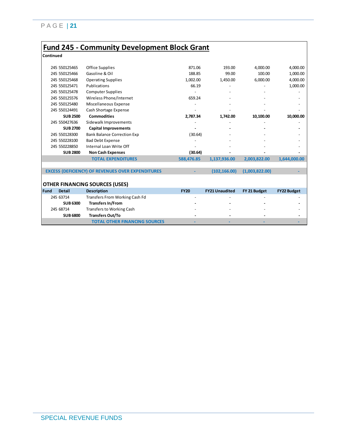### **Fund 245 - Community Development Block Grant**

**Continued**

| <b>Office Supplies</b>                                   |                                       |                       |                |                    |
|----------------------------------------------------------|---------------------------------------|-----------------------|----------------|--------------------|
|                                                          | 871.06                                | 193.00                | 4,000.00       | 4,000.00           |
| Gasoline & Oil                                           | 188.85                                | 99.00                 | 100.00         | 1,000.00           |
| <b>Operating Supplies</b>                                | 1,002.00                              | 1,450.00              | 6,000.00       | 4,000.00           |
| Publications                                             | 66.19                                 |                       |                | 1,000.00           |
| <b>Computer Supplies</b>                                 |                                       |                       |                |                    |
| Wireless Phone/Internet                                  | 659.24                                |                       |                |                    |
| Miscellaneous Expense                                    |                                       |                       |                |                    |
| Cash Shortage Expense                                    |                                       |                       |                |                    |
| <b>Commodities</b>                                       | 2,787.34                              | 1,742.00              | 10,100.00      | 10,000.00          |
| Sidewalk Improvements                                    |                                       |                       |                |                    |
| <b>Capital Improvements</b>                              |                                       |                       |                |                    |
| <b>Bank Balance Correction Exp</b>                       | (30.64)                               |                       |                |                    |
| <b>Bad Debt Expense</b>                                  |                                       |                       |                |                    |
| Internal Loan Write Off                                  |                                       |                       |                |                    |
| <b>Non Cash Expenses</b>                                 | (30.64)                               |                       |                |                    |
| <b>TOTAL EXPENDITURES</b>                                | 588,476.85                            | 1,137,936.00          | 2,003,822.00   | 1,644,000.00       |
|                                                          |                                       |                       |                |                    |
| <b>EXCESS (DEFICIENCY) OF REVENUES OVER EXPENDITURES</b> |                                       | (102, 166.00)         | (1,003,822.00) |                    |
|                                                          |                                       |                       |                |                    |
|                                                          |                                       |                       |                |                    |
| <b>Description</b>                                       | <b>FY20</b>                           | <b>FY21 Unaudited</b> | FY 21 Budget   | <b>FY22 Budget</b> |
| Transfers From Working Cash Fd                           |                                       |                       |                |                    |
| <b>Transfers In/From</b>                                 |                                       |                       |                |                    |
| <b>Transfers to Working Cash</b>                         |                                       |                       |                |                    |
| <b>Transfers Out/To</b>                                  |                                       |                       |                |                    |
| <b>TOTAL OTHER FINANCING SOURCES</b>                     |                                       |                       |                |                    |
|                                                          | <b>OTHER FINANCING SOURCES (USES)</b> |                       |                |                    |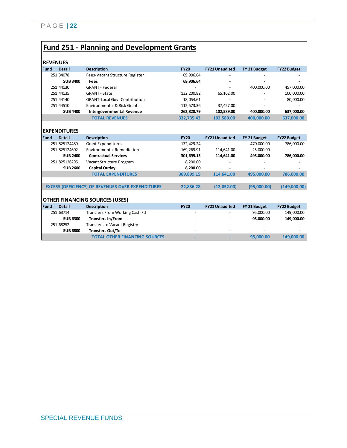# **Fund 251 - Planning and Development Grants**

| <b>REVENUES</b> |                     |                                                          |             |                       |              |                    |
|-----------------|---------------------|----------------------------------------------------------|-------------|-----------------------|--------------|--------------------|
| Fund            | <b>Detail</b>       | <b>Description</b>                                       | <b>FY20</b> | <b>FY21 Unaudited</b> | FY 21 Budget | <b>FY22 Budget</b> |
|                 | 251 34078           | Fees-Vacant Structure Register                           | 69,906.64   |                       |              |                    |
|                 | <b>SUB 3400</b>     | <b>Fees</b>                                              | 69,906.64   |                       |              |                    |
|                 | 251 44130           | <b>GRANT - Federal</b>                                   |             |                       | 400,000.00   | 457,000.00         |
|                 | 251 44135           | <b>GRANT - State</b>                                     | 132,200.82  | 65,162.00             |              | 100,000.00         |
|                 | 251 44140           | <b>GRANT-Local Govt Contribution</b>                     | 18,054.61   |                       |              | 80,000.00          |
|                 | 251 44510           | <b>Environmental &amp; Risk Grant</b>                    | 112,573.36  | 37.427.00             |              |                    |
|                 | <b>SUB 4400</b>     | <b>Intergovernmental Revenue</b>                         | 262,828.79  | 102,589.00            | 400,000.00   | 637,000.00         |
|                 |                     | <b>TOTAL REVENUES</b>                                    | 332,735.43  | 102,589.00            | 400,000.00   | 637,000.00         |
|                 |                     |                                                          |             |                       |              |                    |
|                 | <b>EXPENDITURES</b> |                                                          |             |                       |              |                    |
| Fund            | <b>Detail</b>       | <b>Description</b>                                       | <b>FY20</b> | <b>FY21 Unaudited</b> | FY 21 Budget | <b>FY22 Budget</b> |
|                 | 251 825124489       | <b>Grant Expenditures</b>                                | 132,429.24  |                       | 470,000.00   | 786,000.00         |
|                 | 251 825124602       | <b>Environmental Remediation</b>                         | 169,269.91  | 114,641.00            | 25,000.00    |                    |
|                 | <b>SUB 2400</b>     | <b>Contractual Services</b>                              | 301,699.15  | 114,641.00            | 495,000.00   | 786,000.00         |
|                 | 251 825126295       | Vacant Structure Program                                 | 8,200.00    |                       |              |                    |
|                 | <b>SUB 2600</b>     | <b>Capital Outlay</b>                                    | 8,200.00    |                       |              |                    |
|                 |                     | <b>TOTAL EXPENDITURES</b>                                | 309,899.15  | 114,641.00            | 495,000.00   | 786,000.00         |
|                 |                     |                                                          |             |                       |              |                    |
|                 |                     | <b>EXCESS (DEFICIENCY) OF REVENUES OVER EXPENDITURES</b> | 22,836.28   | (12,052.00)           | (95,000.00)  | (149,000.00)       |
|                 |                     |                                                          |             |                       |              |                    |
|                 |                     | <b>OTHER FINANCING SOURCES (USES)</b>                    |             |                       |              |                    |
| Fund            | <b>Detail</b>       | <b>Description</b>                                       | <b>FY20</b> | <b>FY21 Unaudited</b> | FY 21 Budget | <b>FY22 Budget</b> |
|                 | 251 63714           | Transfers From Working Cash Fd                           |             |                       | 95,000.00    | 149,000.00         |
|                 | <b>SUB 6300</b>     | <b>Transfers In/From</b>                                 |             |                       | 95,000.00    | 149,000.00         |
|                 | 251 68252           | <b>Transfers to Vacant Registry</b>                      |             |                       |              |                    |
|                 | <b>SUB 6800</b>     | <b>Transfers Out/To</b>                                  |             |                       |              |                    |
|                 |                     | <b>TOTAL OTHER FINANCING SOURCES</b>                     |             |                       | 95.000.00    | 149,000.00         |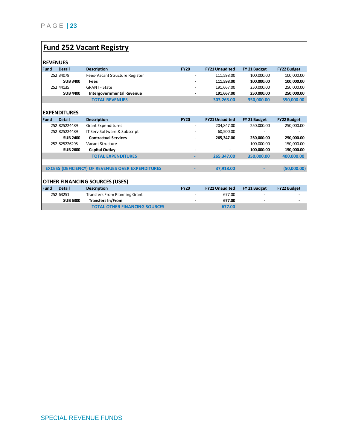# **Fund 252 Vacant Registry**

|                              | <b>REVENUES</b> |                                                          |             |                       |              |                    |  |  |
|------------------------------|-----------------|----------------------------------------------------------|-------------|-----------------------|--------------|--------------------|--|--|
| <b>Fund</b><br><b>Detail</b> |                 | <b>Description</b>                                       | <b>FY20</b> | <b>FY21 Unaudited</b> | FY 21 Budget | <b>FY22 Budget</b> |  |  |
| 252 34078                    |                 | Fees-Vacant Structure Register                           |             | 111,598.00            | 100,000.00   | 100,000.00         |  |  |
|                              | <b>SUB 3400</b> | Fees                                                     |             | 111,598.00            | 100,000.00   | 100,000.00         |  |  |
| 252 44135                    |                 | <b>GRANT - State</b>                                     |             | 191,667.00            | 250,000.00   | 250,000.00         |  |  |
|                              | <b>SUB 4400</b> | <b>Intergovernmental Revenue</b>                         |             | 191,667.00            | 250.000.00   | 250,000.00         |  |  |
|                              |                 | <b>TOTAL REVENUES</b>                                    | ٠           | 303,265.00            | 350,000.00   | 350,000.00         |  |  |
|                              |                 |                                                          |             |                       |              |                    |  |  |
| <b>EXPENDITURES</b>          |                 |                                                          |             |                       |              |                    |  |  |
| <b>Fund</b><br><b>Detail</b> |                 | <b>Description</b>                                       | <b>FY20</b> | <b>FY21 Unaudited</b> | FY 21 Budget | <b>FY22 Budget</b> |  |  |
| 252 825224489                |                 | <b>Grant Expenditures</b>                                |             | 204,847.00            | 250,000.00   | 250,000.00         |  |  |
| 252 825224489                |                 | IT Serv Software & Subscript                             |             | 60,500.00             |              |                    |  |  |
|                              | <b>SUB 2400</b> | <b>Contractual Services</b>                              |             | 265,347.00            | 250,000.00   | 250,000.00         |  |  |
| 252 825226295                |                 | Vacant Structure                                         |             |                       | 100,000.00   | 150,000.00         |  |  |
|                              | <b>SUB 2600</b> | <b>Capital Outlay</b>                                    |             |                       | 100.000.00   | 150,000.00         |  |  |
|                              |                 | <b>TOTAL EXPENDITURES</b>                                |             | 265.347.00            | 350.000.00   | 400,000.00         |  |  |
|                              |                 |                                                          |             |                       |              |                    |  |  |
|                              |                 | <b>EXCESS (DEFICIENCY) OF REVENUES OVER EXPENDITURES</b> |             | 37,918.00             |              | (50,000.00)        |  |  |
|                              |                 |                                                          |             |                       |              |                    |  |  |
|                              |                 | OTHER FINANCING SOURCES (USES)                           |             |                       |              |                    |  |  |
| <b>Fund</b><br><b>Detail</b> |                 | <b>Description</b>                                       | <b>FY20</b> | <b>FY21 Unaudited</b> | FY 21 Budget | <b>FY22 Budget</b> |  |  |
| 252 63251                    |                 | <b>Transfers From Planning Grant</b>                     |             | 677.00                |              |                    |  |  |
|                              | <b>SUB 6300</b> | <b>Transfers In/From</b>                                 |             | 677.00                |              |                    |  |  |
|                              |                 | <b>TOTAL OTHER FINANCING SOURCES</b>                     |             | 677.00                |              |                    |  |  |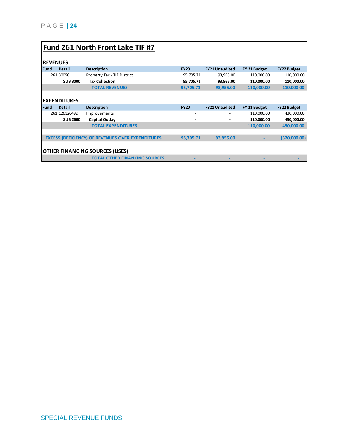|             | Fund 261 North Front Lake TIF #7      |                                                          |                        |                        |                          |                          |  |  |  |
|-------------|---------------------------------------|----------------------------------------------------------|------------------------|------------------------|--------------------------|--------------------------|--|--|--|
|             | <b>REVENUES</b>                       |                                                          |                        |                        |                          |                          |  |  |  |
| <b>Fund</b> | Detail                                | <b>Description</b>                                       | <b>FY20</b>            | <b>FY21 Unaudited</b>  | FY 21 Budget             | <b>FY22 Budget</b>       |  |  |  |
|             | 261 30050<br><b>SUB 3000</b>          | Property Tax - TIF District<br><b>Tax Collection</b>     | 95,705.71<br>95,705.71 | 93,955.00<br>93,955.00 | 110,000.00<br>110,000.00 | 110,000.00<br>110,000.00 |  |  |  |
|             |                                       | <b>TOTAL REVENUES</b>                                    | 95,705.71              | 93,955.00              | 110,000.00               | 110,000.00               |  |  |  |
|             | <b>EXPENDITURES</b>                   |                                                          |                        |                        |                          |                          |  |  |  |
| <b>Fund</b> | <b>Detail</b>                         | <b>Description</b>                                       | <b>FY20</b>            | <b>FY21 Unaudited</b>  | FY 21 Budget             | <b>FY22 Budget</b>       |  |  |  |
|             | 261 126126492<br><b>SUB 2600</b>      | Improvements<br><b>Capital Outlay</b>                    |                        |                        | 110,000.00<br>110,000.00 | 430,000.00<br>430,000.00 |  |  |  |
|             |                                       | <b>TOTAL EXPENDITURES</b>                                |                        |                        | 110,000.00               | 430,000.00               |  |  |  |
|             |                                       |                                                          |                        |                        |                          |                          |  |  |  |
|             |                                       | <b>EXCESS (DEFICIENCY) OF REVENUES OVER EXPENDITURES</b> | 95,705.71              | 93,955.00              |                          | (320,000.00)             |  |  |  |
|             | <b>OTHER FINANCING SOURCES (USES)</b> |                                                          |                        |                        |                          |                          |  |  |  |
|             |                                       | <b>TOTAL OTHER FINANCING SOURCES</b>                     |                        |                        |                          |                          |  |  |  |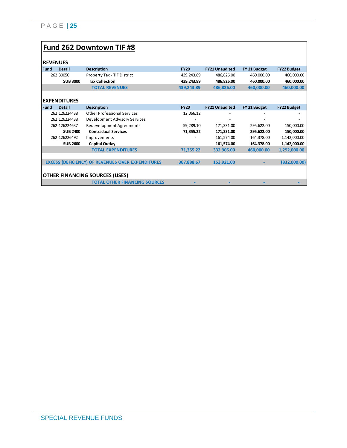### **Fund 262 Downtown TIF #8**

|             | 11LVLIVULJ          |                                                          |             |                       |              |                    |
|-------------|---------------------|----------------------------------------------------------|-------------|-----------------------|--------------|--------------------|
| Fund        | <b>Detail</b>       | <b>Description</b>                                       | <b>FY20</b> | <b>FY21 Unaudited</b> | FY 21 Budget | <b>FY22 Budget</b> |
|             | 262 30050           | Property Tax - TIF District                              | 439,243.89  | 486,826.00            | 460,000.00   | 460,000.00         |
|             | <b>SUB 3000</b>     | <b>Tax Collection</b>                                    | 439,243.89  | 486,826.00            | 460,000.00   | 460,000.00         |
|             |                     | <b>TOTAL REVENUES</b>                                    | 439,243.89  | 486,826.00            | 460,000.00   | 460,000.00         |
|             |                     |                                                          |             |                       |              |                    |
|             | <b>EXPENDITURES</b> |                                                          |             |                       |              |                    |
| <b>Fund</b> | <b>Detail</b>       | <b>Description</b>                                       | <b>FY20</b> | <b>FY21 Unaudited</b> | FY 21 Budget | <b>FY22 Budget</b> |
|             | 262 126224438       | <b>Other Professional Services</b>                       | 12,066.12   |                       |              |                    |
|             | 262 126224438       | Development Advisory Services                            |             |                       |              |                    |
|             | 262 126224637       | <b>Redevelopment Agreements</b>                          | 59,289.10   | 171,331.00            | 295,622.00   | 150,000.00         |
|             | <b>SUB 2400</b>     | <b>Contractual Services</b>                              | 71,355.22   | 171,331.00            | 295,622.00   | 150,000.00         |
|             | 262 126226492       | Improvements                                             |             | 161,574.00            | 164,378.00   | 1,142,000.00       |
|             | <b>SUB 2600</b>     | <b>Capital Outlay</b>                                    |             | 161,574.00            | 164,378.00   | 1,142,000.00       |
|             |                     | <b>TOTAL EXPENDITURES</b>                                | 71,355.22   | 332,905.00            | 460,000.00   | 1,292,000.00       |
|             |                     |                                                          |             |                       |              |                    |
|             |                     | <b>EXCESS (DEFICIENCY) OF REVENUES OVER EXPENDITURES</b> | 367,888.67  | 153,921.00            |              | (832,000.00)       |
|             |                     |                                                          |             |                       |              |                    |
|             |                     | <b>OTHER FINANCING SOURCES (USES)</b>                    |             |                       |              |                    |
|             |                     | <b>TOTAL OTHER FINANCING SOURCES</b>                     |             |                       |              |                    |
|             |                     |                                                          |             |                       |              |                    |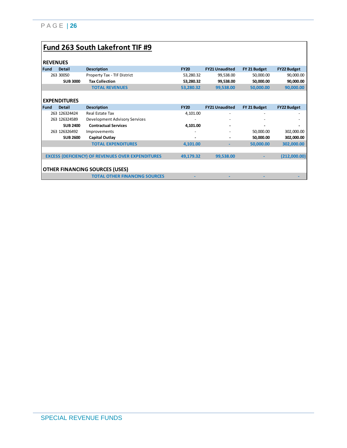# **Fund 263 South Lakefront TIF #9**

### **REVENUES**

| <b>KEVENUES</b> |                                       |                                                          |             |                       |              |                    |  |
|-----------------|---------------------------------------|----------------------------------------------------------|-------------|-----------------------|--------------|--------------------|--|
| <b>Fund</b>     | <b>Detail</b>                         | <b>Description</b>                                       | <b>FY20</b> | <b>FY21 Unaudited</b> | FY 21 Budget | <b>FY22 Budget</b> |  |
|                 | 263 30050                             | Property Tax - TIF District                              | 53,280.32   | 99,538.00             | 50,000.00    | 90,000.00          |  |
|                 | <b>SUB 3000</b>                       | <b>Tax Collection</b>                                    | 53,280.32   | 99,538.00             | 50,000.00    | 90,000.00          |  |
|                 |                                       | <b>TOTAL REVENUES</b>                                    | 53,280.32   | 99,538.00             | 50,000.00    | 90,000.00          |  |
|                 |                                       |                                                          |             |                       |              |                    |  |
|                 | <b>EXPENDITURES</b>                   |                                                          |             |                       |              |                    |  |
| <b>Fund</b>     | <b>Detail</b>                         | <b>Description</b>                                       | <b>FY20</b> | <b>FY21 Unaudited</b> | FY 21 Budget | <b>FY22 Budget</b> |  |
|                 | 263 126324424                         | <b>Real Estate Tax</b>                                   | 4,101.00    |                       |              |                    |  |
|                 | 263 126324589                         | Development Advisory Services                            |             |                       |              |                    |  |
|                 | <b>SUB 2400</b>                       | <b>Contractual Services</b>                              | 4,101.00    |                       |              |                    |  |
|                 | 263 126326492                         | Improvements                                             |             |                       | 50,000.00    | 302,000.00         |  |
|                 | <b>SUB 2600</b>                       | <b>Capital Outlay</b>                                    |             |                       | 50,000.00    | 302,000.00         |  |
|                 |                                       | <b>TOTAL EXPENDITURES</b>                                | 4,101.00    |                       | 50,000.00    | 302,000.00         |  |
|                 |                                       |                                                          |             |                       |              |                    |  |
|                 |                                       | <b>EXCESS (DEFICIENCY) OF REVENUES OVER EXPENDITURES</b> | 49,179.32   | 99,538.00             |              | (212,000.00)       |  |
|                 |                                       |                                                          |             |                       |              |                    |  |
|                 | <b>OTHER FINANCING SOURCES (USES)</b> |                                                          |             |                       |              |                    |  |
|                 |                                       | <b>TOTAL OTHER FINANCING SOURCES</b>                     |             |                       |              |                    |  |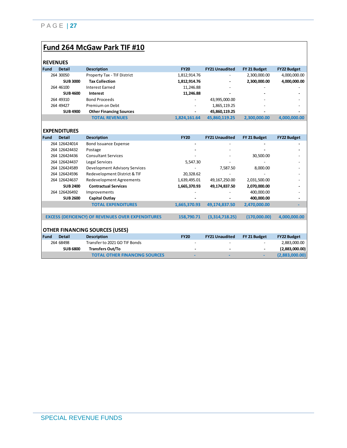### **Fund 264 McGaw Park TIF #10**

| NEVEIVUEJ   |                     |                                                          |              |                       |              |                    |
|-------------|---------------------|----------------------------------------------------------|--------------|-----------------------|--------------|--------------------|
| <b>Fund</b> | <b>Detail</b>       | <b>Description</b>                                       | <b>FY20</b>  | <b>FY21 Unaudited</b> | FY 21 Budget | <b>FY22 Budget</b> |
|             | 264 30050           | Property Tax - TIF District                              | 1,812,914.76 |                       | 2,300,000.00 | 4,000,000.00       |
|             | <b>SUB 3000</b>     | <b>Tax Collection</b>                                    | 1,812,914.76 |                       | 2,300,000.00 | 4,000,000.00       |
|             | 264 46100           | <b>Interest Earned</b>                                   | 11,246.88    |                       |              |                    |
|             | <b>SUB 4600</b>     | Interest                                                 | 11,246.88    |                       |              |                    |
|             | 264 49310           | <b>Bond Proceeds</b>                                     |              | 43,995,000.00         |              |                    |
|             | 264 49427           | Premium on Debt                                          |              | 1,865,119.25          |              |                    |
|             | <b>SUB 4900</b>     | <b>Other Financing Sources</b>                           |              | 45,860,119.25         |              |                    |
|             |                     | <b>TOTAL REVENUES</b>                                    | 1,824,161.64 | 45,860,119.25         | 2,300,000.00 | 4,000,000.00       |
|             |                     |                                                          |              |                       |              |                    |
|             | <b>EXPENDITURES</b> |                                                          |              |                       |              |                    |
| Fund        | <b>Detail</b>       | <b>Description</b>                                       | <b>FY20</b>  | <b>FY21 Unaudited</b> | FY 21 Budget | <b>FY22 Budget</b> |
|             | 264 126424014       | <b>Bond Issuance Expense</b>                             |              |                       |              |                    |
|             | 264 126424432       | Postage                                                  |              |                       |              |                    |
|             | 264 126424436       | <b>Consultant Services</b>                               |              |                       | 30,500.00    |                    |
|             | 264 126424437       | Legal Services                                           | 5,547.30     |                       |              |                    |
|             | 264 126424589       | Development Advisory Services                            |              | 7,587.50              | 8,000.00     |                    |
|             | 264 126424596       | Redevelopment District & TIF                             | 20,328.62    |                       |              |                    |
|             | 264 126424637       | <b>Redevelopment Agreements</b>                          | 1,639,495.01 | 49,167,250.00         | 2,031,500.00 |                    |
|             | <b>SUB 2400</b>     | <b>Contractual Services</b>                              | 1,665,370.93 | 49,174,837.50         | 2,070,000.00 |                    |
|             | 264 126426492       | Improvements                                             |              |                       | 400,000.00   |                    |
|             | <b>SUB 2600</b>     | <b>Capital Outlay</b>                                    |              |                       | 400,000.00   |                    |
|             |                     | <b>TOTAL EXPENDITURES</b>                                | 1,665,370.93 | 49,174,837.50         | 2,470,000.00 |                    |
|             |                     |                                                          |              |                       |              |                    |
|             |                     | <b>EXCESS (DEFICIENCY) OF REVENUES OVER EXPENDITURES</b> | 158,790.71   | (3,314,718.25)        | (170,000.00) | 4,000,000.00       |
|             |                     |                                                          |              |                       |              |                    |
|             |                     | <b>OTHER FINANCING SOURCES (USES)</b>                    |              |                       |              |                    |
| <b>Fund</b> | <b>Detail</b>       | <b>Description</b>                                       | <b>FY20</b>  | <b>FY21 Unaudited</b> | FY 21 Budget | <b>FY22 Budget</b> |
|             | 264 68498           | Transfer to 2021 GO TIF Bonds                            |              |                       |              | 2,883,000.00       |
|             | <b>SUB 6800</b>     | <b>Transfers Out/To</b>                                  |              |                       |              | (2,883,000.00)     |
|             |                     | <b>TOTAL OTHER FINANCING SOURCES</b>                     |              |                       | ٠            | (2,883,000.00)     |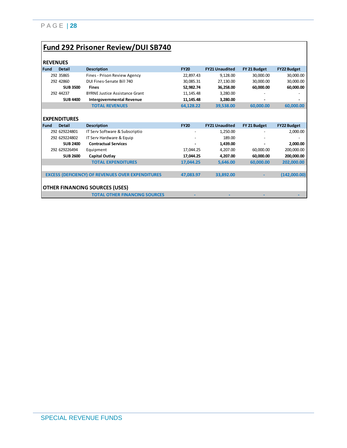# **Fund 292 Prisoner Review/DUI SB740**

| <b>REVENUES</b> |                     |                                                          |                          |                       |              |                    |
|-----------------|---------------------|----------------------------------------------------------|--------------------------|-----------------------|--------------|--------------------|
| Fund            | <b>Detail</b>       | <b>Description</b>                                       | <b>FY20</b>              | <b>FY21 Unaudited</b> | FY 21 Budget | <b>FY22 Budget</b> |
|                 | 292 35865           | Fines - Prison Review Agency                             | 22,897.43                | 9,128.00              | 30,000.00    | 30,000.00          |
|                 | 292 42860           | DUI Fines-Senate Bill 740                                | 30.085.31                | 27.130.00             | 30,000.00    | 30,000.00          |
|                 | <b>SUB 3500</b>     | <b>Fines</b>                                             | 52,982.74                | 36,258.00             | 60,000.00    | 60,000.00          |
|                 | 292 44237           | <b>BYRNE Justice Assistance Grant</b>                    | 11.145.48                | 3.280.00              |              |                    |
|                 | <b>SUB 4400</b>     |                                                          |                          |                       |              |                    |
|                 |                     | <b>Intergovernmental Revenue</b>                         | 11,145.48                | 3,280.00              |              |                    |
|                 |                     | <b>TOTAL REVENUES</b>                                    | 64,128.22                | 39,538.00             | 60.000.00    | 60,000.00          |
|                 |                     |                                                          |                          |                       |              |                    |
|                 | <b>EXPENDITURES</b> |                                                          |                          |                       |              |                    |
| Fund            | <b>Detail</b>       | <b>Description</b>                                       | <b>FY20</b>              | <b>FY21 Unaudited</b> | FY 21 Budget | <b>FY22 Budget</b> |
|                 | 292 629224801       | IT Serv Software & Subscriptio                           | $\overline{\phantom{a}}$ | 1,250.00              |              | 2,000.00           |
|                 | 292 629224802       | IT Serv Hardware & Equip                                 |                          | 189.00                |              |                    |
|                 | <b>SUB 2400</b>     | <b>Contractual Services</b>                              |                          | 1,439.00              |              | 2,000.00           |
|                 | 292 629226494       | Equipment                                                | 17.044.25                | 4.207.00              | 60.000.00    | 200,000.00         |
|                 | <b>SUB 2600</b>     | Capital Outlay                                           | 17,044.25                | 4,207.00              | 60,000.00    | 200,000.00         |
|                 |                     | <b>TOTAL EXPENDITURES</b>                                | 17,044.25                | 5,646.00              | 60,000.00    | 202,000.00         |
|                 |                     |                                                          |                          |                       |              |                    |
|                 |                     | <b>EXCESS (DEFICIENCY) OF REVENUES OVER EXPENDITURES</b> | 47,083.97                | 33,892.00             |              | (142,000.00)       |
|                 |                     |                                                          |                          |                       |              |                    |
|                 |                     | OTHER FINANCING SOURCES (USES)                           |                          |                       |              |                    |
|                 |                     |                                                          |                          |                       |              |                    |
|                 |                     | <b>TOTAL OTHER FINANCING SOURCES</b>                     |                          |                       |              |                    |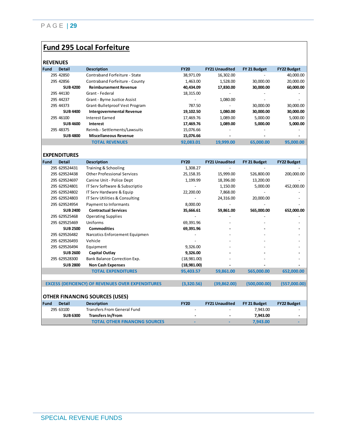# **Fund 295 Local Forfeiture**

| <b>REVENUES</b> |  |
|-----------------|--|
|-----------------|--|

| <b>REVENUES</b> |                     |                                    |             |                       |              |                    |
|-----------------|---------------------|------------------------------------|-------------|-----------------------|--------------|--------------------|
| <b>Fund</b>     | <b>Detail</b>       | <b>Description</b>                 | <b>FY20</b> | <b>FY21 Unaudited</b> | FY 21 Budget | <b>FY22 Budget</b> |
|                 | 295 42850           | Contraband Forfeiture - State      | 38,971.09   | 16,302.00             |              | 40,000.00          |
|                 | 295 42856           | Contraband Forfeiture - County     | 1,463.00    | 1,528.00              | 30,000.00    | 20,000.00          |
|                 | <b>SUB 4200</b>     | <b>Reimbursement Revenue</b>       | 40,434.09   | 17,830.00             | 30,000.00    | 60,000.00          |
|                 | 295 44130           | Grant - Federal                    | 18,315.00   |                       |              |                    |
|                 | 295 44237           | Grant - Byrne Justice Assist       |             | 1,080.00              |              |                    |
|                 | 295 44373           | Grant-Bulletproof Vest Program     | 787.50      |                       | 30,000.00    | 30,000.00          |
|                 | <b>SUB 4400</b>     | <b>Intergovernmental Revenue</b>   | 19,102.50   | 1,080.00              | 30,000.00    | 30,000.00          |
|                 | 295 46100           | <b>Interest Earned</b>             | 17,469.76   | 1,089.00              | 5,000.00     | 5,000.00           |
|                 | <b>SUB 4600</b>     | Interest                           | 17,469.76   | 1,089.00              | 5,000.00     | 5,000.00           |
|                 | 295 48375           | Reimb.- Settlements/Lawsuits       | 15,076.66   |                       |              |                    |
|                 | <b>SUB 4800</b>     | <b>Miscellaneous Revenue</b>       | 15,076.66   |                       |              |                    |
|                 |                     | <b>TOTAL REVENUES</b>              | 92,083.01   | 19,999.00             | 65,000.00    | 95,000.00          |
|                 |                     |                                    |             |                       |              |                    |
|                 | <b>EXPENDITURES</b> |                                    |             |                       |              |                    |
| <b>Fund</b>     | <b>Detail</b>       | <b>Description</b>                 | <b>FY20</b> | <b>FY21 Unaudited</b> | FY 21 Budget | <b>FY22 Budget</b> |
|                 | 295 629524431       | Training & Schooling               | 1,308.27    |                       |              |                    |
|                 | 295 629524438       | <b>Other Professional Services</b> | 25,158.35   | 15,999.00             | 526,800.00   | 200,000.00         |
|                 | 295 629524697       | Canine Unit - Police Dept          | 1,199.99    | 18,396.00             | 13,200.00    |                    |
|                 | 295 629524801       | IT Serv Software & Subscriptio     |             | 1,150.00              | 5,000.00     | 452,000.00         |
|                 | 295 629524802       | IT Serv Hardware & Equip           | 22,200.00   | 7,868.00              |              |                    |

|             | 2YJ 02YJZ48UZ   | TI SEIV Hardware & Equip                                 | ZZ,ZUU.UU   | 7,808.UU              |              |                    |
|-------------|-----------------|----------------------------------------------------------|-------------|-----------------------|--------------|--------------------|
|             | 295 629524803   | IT Serv Utilities & Consulting                           |             | 24,316.00             | 20,000.00    |                    |
|             | 295 629524954   | Payment to Informants                                    | 8,000.00    |                       |              |                    |
|             | <b>SUB 2400</b> | <b>Contractual Services</b>                              | 35,666.61   | 59,861.00             | 565,000.00   | 652,000.00         |
|             | 295 629525468   | <b>Operating Supplies</b>                                |             |                       |              |                    |
|             | 295 629525469   | Uniforms                                                 | 69,391.96   |                       |              |                    |
|             | <b>SUB 2500</b> | <b>Commodities</b>                                       | 69,391.96   |                       |              |                    |
|             | 295 629526482   | Narcotics Enforcement Equipmen                           |             |                       |              |                    |
|             | 295 629526493   | Vehicle                                                  |             |                       |              |                    |
|             | 295 629526494   | Equipment                                                | 9,326.00    |                       |              |                    |
|             | <b>SUB 2600</b> | <b>Capital Outlay</b>                                    | 9,326.00    |                       |              |                    |
|             | 295 629528300   | Bank Balance Correction Exp.                             | (18,981.00) |                       |              |                    |
|             | <b>SUB 2800</b> | <b>Non Cash Expenses</b>                                 | (18,981.00) |                       |              |                    |
|             |                 | <b>TOTAL EXPENDITURES</b>                                | 95,403.57   | 59,861.00             | 565,000.00   | 652,000.00         |
|             |                 |                                                          |             |                       |              |                    |
|             |                 | <b>EXCESS (DEFICIENCY) OF REVENUES OVER EXPENDITURES</b> | (3,320.56)  | (39, 862.00)          | (500,000.00) | (557,000.00)       |
|             |                 |                                                          |             |                       |              |                    |
|             |                 | <b>OTHER FINANCING SOURCES (USES)</b>                    |             |                       |              |                    |
| <b>Fund</b> | <b>Detail</b>   | <b>Description</b>                                       | <b>FY20</b> | <b>FY21 Unaudited</b> | FY 21 Budget | <b>FY22 Budget</b> |
|             | 295 63100       | <b>Transfers From General Fund</b>                       |             |                       | 7,943.00     |                    |
|             | <b>SUB 6300</b> | <b>Transfers In/From</b>                                 |             |                       | 7,943.00     |                    |
|             |                 | <b>TOTAL OTHER FINANCING SOURCES</b>                     |             |                       | 7,943.00     |                    |
|             |                 |                                                          |             |                       |              |                    |